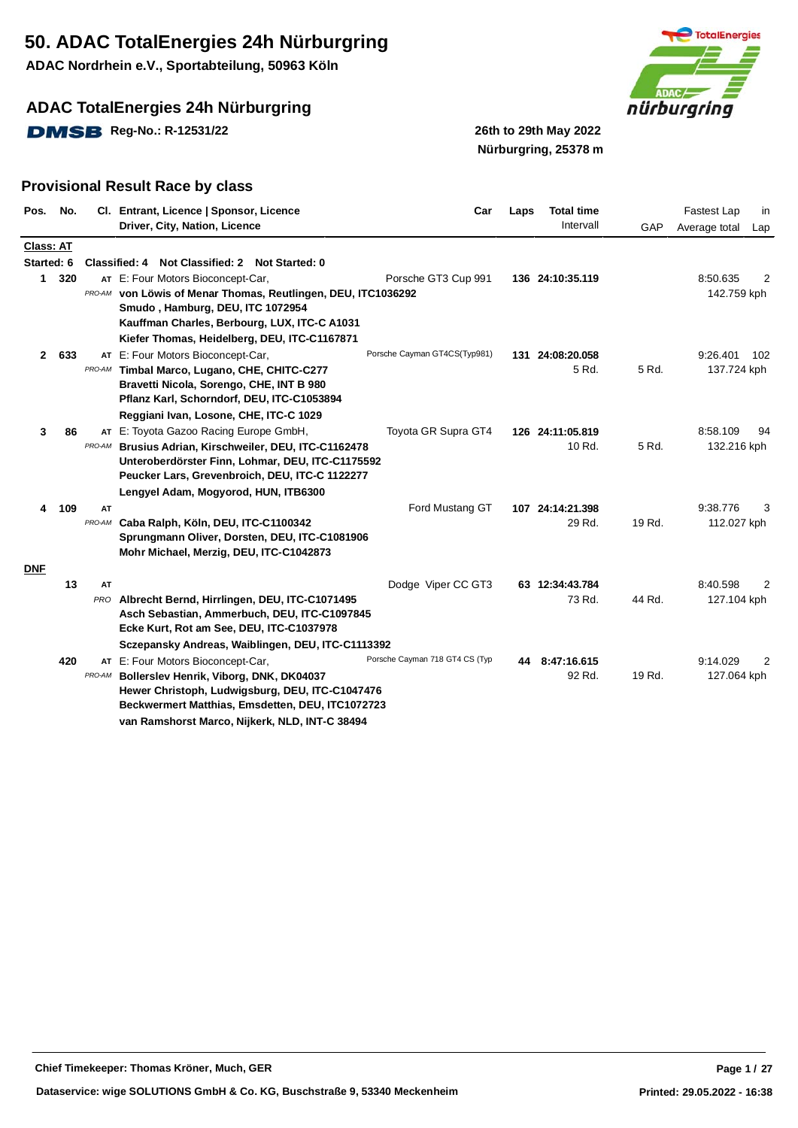**ADAC Nordrhein e.V., Sportabteilung, 50963 Köln**

## **ADAC TotalEnergies 24h Nürburgring**

**DMSB** Reg-No.: R-12531/22 26th to 29th May 2022



**Nürburgring, 25378 m**

| Pos.             | No.   |        | Cl. Entrant, Licence   Sponsor, Licence                                                            | Car                            | Laps | <b>Total time</b> |        | Fastest Lap<br>in    |
|------------------|-------|--------|----------------------------------------------------------------------------------------------------|--------------------------------|------|-------------------|--------|----------------------|
|                  |       |        | Driver, City, Nation, Licence                                                                      |                                |      | Intervall         | GAP    | Average total<br>Lap |
| <b>Class: AT</b> |       |        |                                                                                                    |                                |      |                   |        |                      |
| Started: 6       |       |        | Classified: 4 Not Classified: 2 Not Started: 0                                                     |                                |      |                   |        |                      |
| 1                | 320   |        | AT E: Four Motors Bioconcept-Car,                                                                  | Porsche GT3 Cup 991            |      | 136 24:10:35.119  |        | 8:50.635<br>2        |
|                  |       |        | PRO-AM von Löwis of Menar Thomas, Reutlingen, DEU, ITC1036292                                      |                                |      |                   |        | 142.759 kph          |
|                  |       |        | Smudo, Hamburg, DEU, ITC 1072954                                                                   |                                |      |                   |        |                      |
|                  |       |        | Kauffman Charles, Berbourg, LUX, ITC-C A1031                                                       |                                |      |                   |        |                      |
|                  |       |        | Kiefer Thomas, Heidelberg, DEU, ITC-C1167871                                                       |                                |      |                   |        |                      |
|                  | 2 633 |        | AT E: Four Motors Bioconcept-Car,                                                                  | Porsche Cayman GT4CS(Typ981)   |      | 131 24:08:20.058  |        | 9:26.401<br>102      |
|                  |       | PRO-AM | Timbal Marco, Lugano, CHE, CHITC-C277                                                              |                                |      | 5 Rd.             | 5 Rd.  | 137.724 kph          |
|                  |       |        | Bravetti Nicola, Sorengo, CHE, INT B 980                                                           |                                |      |                   |        |                      |
|                  |       |        | Pflanz Karl, Schorndorf, DEU, ITC-C1053894                                                         |                                |      |                   |        |                      |
|                  |       |        | Reggiani Ivan, Losone, CHE, ITC-C 1029                                                             |                                |      |                   |        |                      |
| 3                | 86    |        | AT E: Toyota Gazoo Racing Europe GmbH,                                                             | Toyota GR Supra GT4            |      | 126 24:11:05.819  |        | 8:58.109<br>94       |
|                  |       | PRO-AM | Brusius Adrian, Kirschweiler, DEU, ITC-C1162478                                                    |                                |      | 10 Rd.            | 5 Rd.  | 132.216 kph          |
|                  |       |        | Unteroberdörster Finn, Lohmar, DEU, ITC-C1175592<br>Peucker Lars, Grevenbroich, DEU, ITC-C 1122277 |                                |      |                   |        |                      |
|                  |       |        | Lengyel Adam, Mogyorod, HUN, ITB6300                                                               |                                |      |                   |        |                      |
| 4                | 109   | AT     |                                                                                                    | Ford Mustang GT                |      | 107 24:14:21.398  |        | 9:38.776<br>3        |
|                  |       | PRO-AM | Caba Ralph, Köln, DEU, ITC-C1100342                                                                |                                |      | 29 Rd.            | 19 Rd. | 112.027 kph          |
|                  |       |        | Sprungmann Oliver, Dorsten, DEU, ITC-C1081906                                                      |                                |      |                   |        |                      |
|                  |       |        | Mohr Michael, Merzig, DEU, ITC-C1042873                                                            |                                |      |                   |        |                      |
| <b>DNF</b>       |       |        |                                                                                                    |                                |      |                   |        |                      |
|                  | 13    | AT     |                                                                                                    | Dodge Viper CC GT3             |      | 63 12:34:43.784   |        | 8:40.598<br>2        |
|                  |       | PRO    | Albrecht Bernd, Hirrlingen, DEU, ITC-C1071495                                                      |                                |      | 73 Rd.            | 44 Rd. | 127.104 kph          |
|                  |       |        | Asch Sebastian, Ammerbuch, DEU, ITC-C1097845                                                       |                                |      |                   |        |                      |
|                  |       |        | Ecke Kurt, Rot am See, DEU, ITC-C1037978                                                           |                                |      |                   |        |                      |
|                  |       |        | Sczepansky Andreas, Waiblingen, DEU, ITC-C1113392                                                  |                                |      |                   |        |                      |
|                  | 420   |        | AT E: Four Motors Bioconcept-Car,                                                                  | Porsche Cayman 718 GT4 CS (Typ |      | 44 8:47:16.615    |        | 9:14.029<br>2        |
|                  |       | PRO-AM | Bollerslev Henrik, Viborg, DNK, DK04037                                                            |                                |      | 92 Rd.            | 19 Rd. | 127.064 kph          |
|                  |       |        | Hewer Christoph, Ludwigsburg, DEU, ITC-C1047476                                                    |                                |      |                   |        |                      |
|                  |       |        | Beckwermert Matthias, Emsdetten, DEU, ITC1072723                                                   |                                |      |                   |        |                      |
|                  |       |        | van Ramshorst Marco, Nijkerk, NLD, INT-C 38494                                                     |                                |      |                   |        |                      |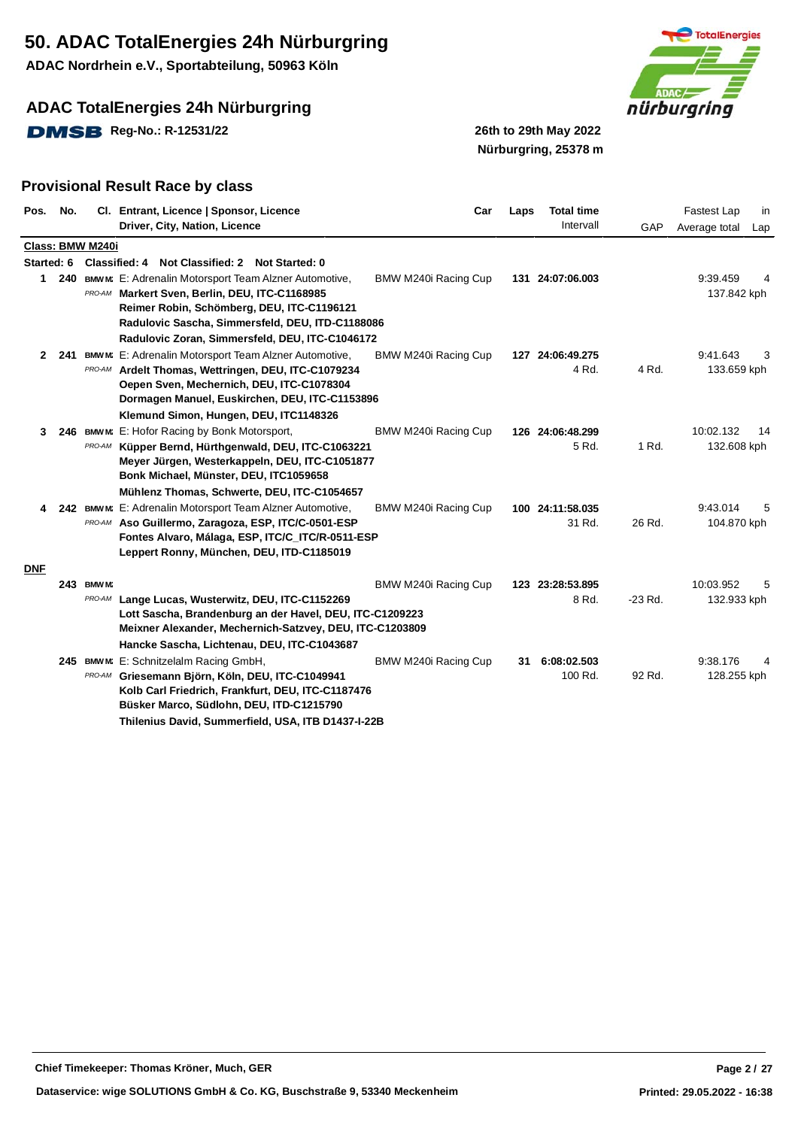**ADAC Nordrhein e.V., Sportabteilung, 50963 Köln**

## **ADAC TotalEnergies 24h Nürburgring**

**DMSB** Reg-No.: R-12531/22 26th to 29th May 2022



**Nürburgring, 25378 m**

| Pos.       | No.        |                      | Cl. Entrant, Licence   Sponsor, Licence<br>Driver, City, Nation, Licence                                                                                                                                                                                         | Car                  | Laps | <b>Total time</b><br>Intervall | GAP       | <b>Fastest Lap</b><br>in<br>Average total<br>Lap |
|------------|------------|----------------------|------------------------------------------------------------------------------------------------------------------------------------------------------------------------------------------------------------------------------------------------------------------|----------------------|------|--------------------------------|-----------|--------------------------------------------------|
|            |            | Class: BMW M240i     |                                                                                                                                                                                                                                                                  |                      |      |                                |           |                                                  |
|            | Started: 6 |                      | Classified: 4 Not Classified: 2 Not Started: 0                                                                                                                                                                                                                   |                      |      |                                |           |                                                  |
| 1          |            |                      | 240 BMWM: E: Adrenalin Motorsport Team Alzner Automotive,<br>PRO-AM Markert Sven, Berlin, DEU, ITC-C1168985<br>Reimer Robin, Schömberg, DEU, ITC-C1196121<br>Radulovic Sascha, Simmersfeld, DEU, ITD-C1188086<br>Radulovic Zoran, Simmersfeld, DEU, ITC-C1046172 | BMW M240i Racing Cup |      | 131 24:07:06.003               |           | 9:39.459<br>137.842 kph                          |
|            | 2 241      |                      | BMWM: E: Adrenalin Motorsport Team Alzner Automotive,                                                                                                                                                                                                            | BMW M240i Racing Cup |      | 127 24:06:49.275               |           | 9:41.643<br>3                                    |
|            |            |                      | PRO-AM Ardelt Thomas, Wettringen, DEU, ITC-C1079234<br>Oepen Sven, Mechernich, DEU, ITC-C1078304<br>Dormagen Manuel, Euskirchen, DEU, ITC-C1153896                                                                                                               |                      |      | 4 Rd.                          | 4 Rd.     | 133.659 kph                                      |
|            |            |                      | Klemund Simon, Hungen, DEU, ITC1148326                                                                                                                                                                                                                           |                      |      |                                |           |                                                  |
| 3          | 246        | PRO-AM               | BMW M: E: Hofor Racing by Bonk Motorsport,<br>Küpper Bernd, Hürthgenwald, DEU, ITC-C1063221<br>Meyer Jürgen, Westerkappeln, DEU, ITC-C1051877<br>Bonk Michael, Münster, DEU, ITC1059658<br>Mühlenz Thomas, Schwerte, DEU, ITC-C1054657                           | BMW M240i Racing Cup |      | 126 24:06:48.299<br>5 Rd.      | 1 Rd.     | 10:02.132<br>14<br>132.608 kph                   |
| 4          |            |                      | 242 BMWM: E: Adrenalin Motorsport Team Alzner Automotive,<br>PRO-AM Aso Guillermo, Zaragoza, ESP, ITC/C-0501-ESP<br>Fontes Alvaro, Málaga, ESP, ITC/C_ITC/R-0511-ESP<br>Leppert Ronny, München, DEU, ITD-C1185019                                                | BMW M240i Racing Cup |      | 100 24:11:58.035<br>31 Rd.     | 26 Rd.    | 9:43.014<br>5<br>104.870 kph                     |
| <b>DNF</b> |            |                      |                                                                                                                                                                                                                                                                  |                      |      |                                |           |                                                  |
|            |            | 243 BMW M:<br>PRO-AM | Lange Lucas, Wusterwitz, DEU, ITC-C1152269<br>Lott Sascha, Brandenburg an der Havel, DEU, ITC-C1209223<br>Meixner Alexander, Mechernich-Satzvey, DEU, ITC-C1203809<br>Hancke Sascha, Lichtenau, DEU, ITC-C1043687                                                | BMW M240i Racing Cup |      | 123 23:28:53.895<br>8 Rd.      | $-23$ Rd. | 10:03.952<br>5<br>132.933 kph                    |
|            |            |                      | 245 BMWM: E: Schnitzelalm Racing GmbH,                                                                                                                                                                                                                           | BMW M240i Racing Cup | 31   | 6:08:02.503                    |           | 9:38.176                                         |
|            |            |                      | PRO-AM Griesemann Björn, Köln, DEU, ITC-C1049941<br>Kolb Carl Friedrich, Frankfurt, DEU, ITC-C1187476<br>Büsker Marco, Südlohn, DEU, ITD-C1215790                                                                                                                |                      |      | 100 Rd.                        | 92 Rd.    | 128.255 kph                                      |
|            |            |                      | Thilenius David, Summerfield, USA, ITB D1437-I-22B                                                                                                                                                                                                               |                      |      |                                |           |                                                  |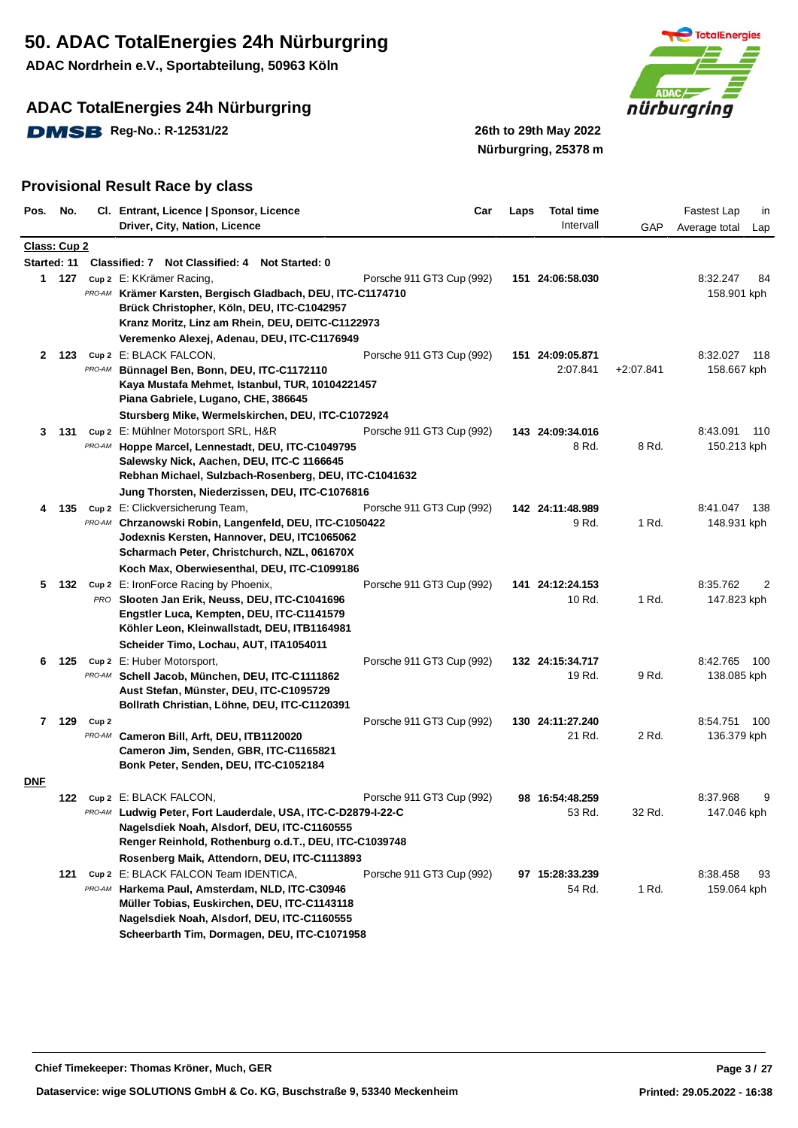**ADAC Nordrhein e.V., Sportabteilung, 50963 Köln**

## **ADAC TotalEnergies 24h Nürburgring**

**DMSB** Reg-No.: R-12531/22 26th to 29th May 2022



**Nürburgring, 25378 m**

| Pos.         | No.         |                  | Cl. Entrant, Licence   Sponsor, Licence                                                  | Car                       | Laps | <b>Total time</b>          |             | <b>Fastest Lap</b><br>in         |
|--------------|-------------|------------------|------------------------------------------------------------------------------------------|---------------------------|------|----------------------------|-------------|----------------------------------|
|              |             |                  | Driver, City, Nation, Licence                                                            |                           |      | Intervall                  | GAP         | Average total<br>Lap             |
| Class: Cup 2 |             |                  |                                                                                          |                           |      |                            |             |                                  |
|              | Started: 11 |                  | Classified: 7 Not Classified: 4<br><b>Not Started: 0</b>                                 |                           |      |                            |             |                                  |
|              | 1 127       |                  | cup 2 E: KKrämer Racing,                                                                 | Porsche 911 GT3 Cup (992) |      | 151 24:06:58.030           |             | 8:32.247<br>84                   |
|              |             |                  | PRO-AM Krämer Karsten, Bergisch Gladbach, DEU, ITC-C1174710                              |                           |      |                            |             | 158.901 kph                      |
|              |             |                  | Brück Christopher, Köln, DEU, ITC-C1042957                                               |                           |      |                            |             |                                  |
|              |             |                  | Kranz Moritz, Linz am Rhein, DEU, DEITC-C1122973                                         |                           |      |                            |             |                                  |
|              |             |                  | Veremenko Alexej, Adenau, DEU, ITC-C1176949                                              |                           |      |                            |             |                                  |
|              | 2 123       |                  | Cup 2 E: BLACK FALCON,                                                                   | Porsche 911 GT3 Cup (992) |      | 151 24:09:05.871           |             | 8:32.027<br>118                  |
|              |             | PRO-AM           | Bünnagel Ben, Bonn, DEU, ITC-C1172110<br>Kaya Mustafa Mehmet, Istanbul, TUR, 10104221457 |                           |      | 2:07.841                   | $+2:07.841$ | 158.667 kph                      |
|              |             |                  | Piana Gabriele, Lugano, CHE, 386645                                                      |                           |      |                            |             |                                  |
|              |             |                  | Stursberg Mike, Wermelskirchen, DEU, ITC-C1072924                                        |                           |      |                            |             |                                  |
|              | 3 131       |                  | Cup 2 E: Mühlner Motorsport SRL, H&R                                                     | Porsche 911 GT3 Cup (992) |      | 143 24:09:34.016           |             | 8:43.091<br>110                  |
|              |             |                  | PRO-AM Hoppe Marcel, Lennestadt, DEU, ITC-C1049795                                       |                           |      | 8 Rd.                      | 8 Rd.       | 150.213 kph                      |
|              |             |                  | Salewsky Nick, Aachen, DEU, ITC-C 1166645                                                |                           |      |                            |             |                                  |
|              |             |                  | Rebhan Michael, Sulzbach-Rosenberg, DEU, ITC-C1041632                                    |                           |      |                            |             |                                  |
|              |             |                  | Jung Thorsten, Niederzissen, DEU, ITC-C1076816                                           |                           |      |                            |             |                                  |
| 4            | 135         |                  | cup 2 E: Clickversicherung Team,                                                         | Porsche 911 GT3 Cup (992) |      | 142 24:11:48.989           |             | 8:41.047<br>- 138                |
|              |             |                  | PRO-AM Chrzanowski Robin, Langenfeld, DEU, ITC-C1050422                                  |                           |      | 9 Rd.                      | 1 Rd.       | 148.931 kph                      |
|              |             |                  | Jodexnis Kersten, Hannover, DEU, ITC1065062                                              |                           |      |                            |             |                                  |
|              |             |                  | Scharmach Peter, Christchurch, NZL, 061670X                                              |                           |      |                            |             |                                  |
|              |             |                  | Koch Max, Oberwiesenthal, DEU, ITC-C1099186                                              |                           |      |                            |             |                                  |
| 5            | 132         |                  | cup 2 E: IronForce Racing by Phoenix,                                                    | Porsche 911 GT3 Cup (992) |      | 141 24:12:24.153           |             | 8:35.762<br>2                    |
|              |             |                  | PRO Slooten Jan Erik, Neuss, DEU, ITC-C1041696                                           |                           |      | 10 Rd.                     | 1 Rd.       | 147.823 kph                      |
|              |             |                  | Engstler Luca, Kempten, DEU, ITC-C1141579                                                |                           |      |                            |             |                                  |
|              |             |                  | Köhler Leon, Kleinwallstadt, DEU, ITB1164981                                             |                           |      |                            |             |                                  |
|              |             |                  | Scheider Timo, Lochau, AUT, ITA1054011                                                   |                           |      |                            |             |                                  |
| 6            | 125         |                  | Cup 2 E: Huber Motorsport,                                                               | Porsche 911 GT3 Cup (992) |      | 132 24:15:34.717           |             | 8:42.765<br>- 100                |
|              |             | PRO-AM           | Schell Jacob, München, DEU, ITC-C1111862                                                 |                           |      | 19 Rd.                     | 9 Rd.       | 138.085 kph                      |
|              |             |                  | Aust Stefan, Münster, DEU, ITC-C1095729                                                  |                           |      |                            |             |                                  |
|              |             |                  | Bollrath Christian, Löhne, DEU, ITC-C1120391                                             |                           |      |                            |             |                                  |
|              | 7 129       | Cup <sub>2</sub> |                                                                                          | Porsche 911 GT3 Cup (992) |      | 130 24:11:27.240<br>21 Rd. | 2 Rd.       | 8.54.751<br>- 100<br>136.379 kph |
|              |             | PRO-AM           | Cameron Bill, Arft, DEU, ITB1120020<br>Cameron Jim, Senden, GBR, ITC-C1165821            |                           |      |                            |             |                                  |
|              |             |                  | Bonk Peter, Senden, DEU, ITC-C1052184                                                    |                           |      |                            |             |                                  |
| <b>DNF</b>   |             |                  |                                                                                          |                           |      |                            |             |                                  |
|              | 122         |                  | Cup 2 E: BLACK FALCON,                                                                   | Porsche 911 GT3 Cup (992) |      | 98 16:54:48.259            |             | 8:37.968<br>9                    |
|              |             |                  | PRO-AM Ludwig Peter, Fort Lauderdale, USA, ITC-C-D2879-I-22-C                            |                           |      | 53 Rd.                     | 32 Rd.      | 147.046 kph                      |
|              |             |                  | Nagelsdiek Noah, Alsdorf, DEU, ITC-C1160555                                              |                           |      |                            |             |                                  |
|              |             |                  | Renger Reinhold, Rothenburg o.d.T., DEU, ITC-C1039748                                    |                           |      |                            |             |                                  |
|              |             |                  | Rosenberg Maik, Attendorn, DEU, ITC-C1113893                                             |                           |      |                            |             |                                  |
|              | 121         |                  | Cup 2 E: BLACK FALCON Team IDENTICA,                                                     | Porsche 911 GT3 Cup (992) |      | 97 15:28:33.239            |             | 8:38.458<br>93                   |
|              |             |                  | PRO-AM Harkema Paul, Amsterdam, NLD, ITC-C30946                                          |                           |      | 54 Rd.                     | 1 Rd.       | 159.064 kph                      |
|              |             |                  | Müller Tobias, Euskirchen, DEU, ITC-C1143118                                             |                           |      |                            |             |                                  |
|              |             |                  | Nagelsdiek Noah, Alsdorf, DEU, ITC-C1160555                                              |                           |      |                            |             |                                  |
|              |             |                  | Scheerbarth Tim, Dormagen, DEU, ITC-C1071958                                             |                           |      |                            |             |                                  |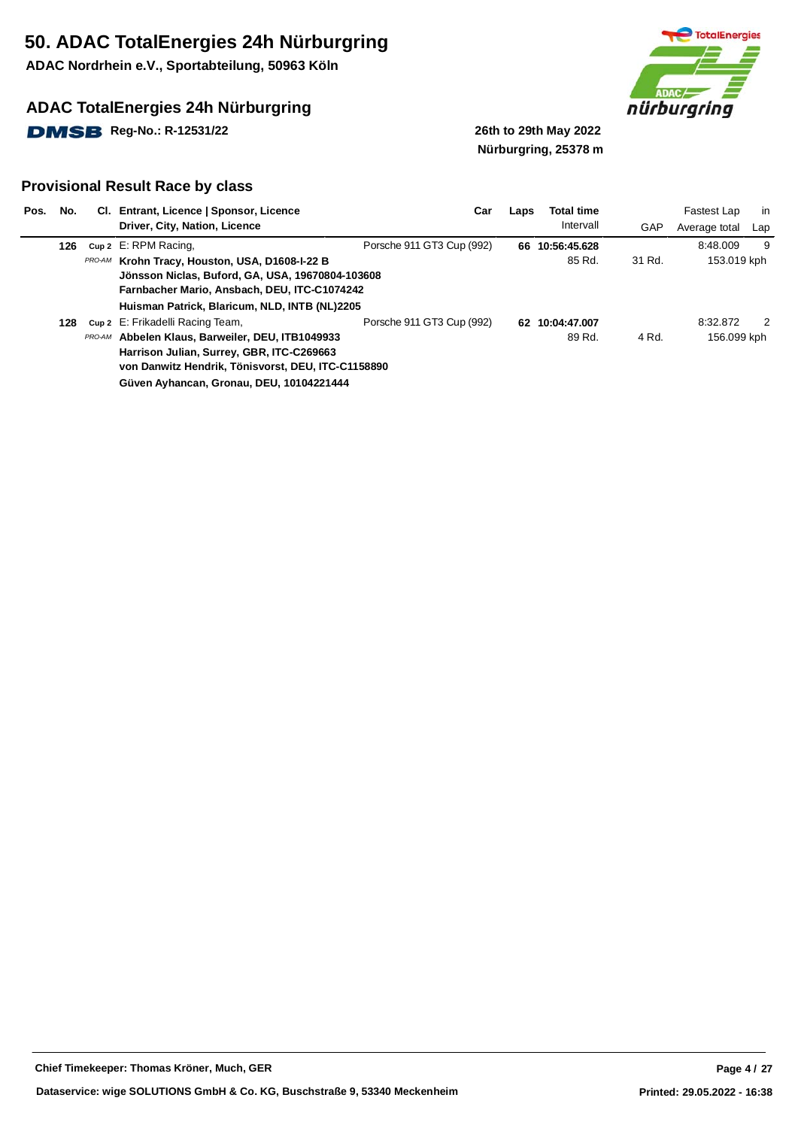**ADAC Nordrhein e.V., Sportabteilung, 50963 Köln**

## **ADAC TotalEnergies 24h Nürburgring**

**DMSB** Reg-No.: R-12531/22 26th to 29th May 2022



# **Nürburgring, 25378 m**

| Pos. | No. | CI. Entrant, Licence   Sponsor, Licence                                                                                                                                                             | Car                       | Laps | <b>Total time</b> |        | Fastest Lap   | in  |
|------|-----|-----------------------------------------------------------------------------------------------------------------------------------------------------------------------------------------------------|---------------------------|------|-------------------|--------|---------------|-----|
|      |     | Driver, City, Nation, Licence                                                                                                                                                                       |                           |      | Intervall         | GAP    | Average total | Lap |
|      | 126 | Cup 2 E: RPM Racing,                                                                                                                                                                                | Porsche 911 GT3 Cup (992) |      | 66 10:56:45.628   |        | 8:48.009      | 9   |
|      |     | PRO-AM Krohn Tracy, Houston, USA, D1608-I-22 B<br>Jönsson Niclas, Buford, GA, USA, 19670804-103608<br>Farnbacher Mario, Ansbach, DEU, ITC-C1074242<br>Huisman Patrick, Blaricum, NLD, INTB (NL)2205 |                           |      | 85 Rd.            | 31 Rd. | 153.019 kph   |     |
|      | 128 | cup 2 E: Frikadelli Racing Team,                                                                                                                                                                    | Porsche 911 GT3 Cup (992) |      | 62 10:04:47.007   |        | 8:32.872      | 2   |
|      |     | <b>PRO-AM</b> Abbelen Klaus, Barweiler, DEU, ITB1049933<br>Harrison Julian, Surrey, GBR, ITC-C269663<br>von Danwitz Hendrik, Tönisvorst, DEU, ITC-C1158890                                          |                           |      | 89 Rd.            | 4 Rd.  | 156.099 kph   |     |
|      |     | Güven Ayhancan, Gronau, DEU, 10104221444                                                                                                                                                            |                           |      |                   |        |               |     |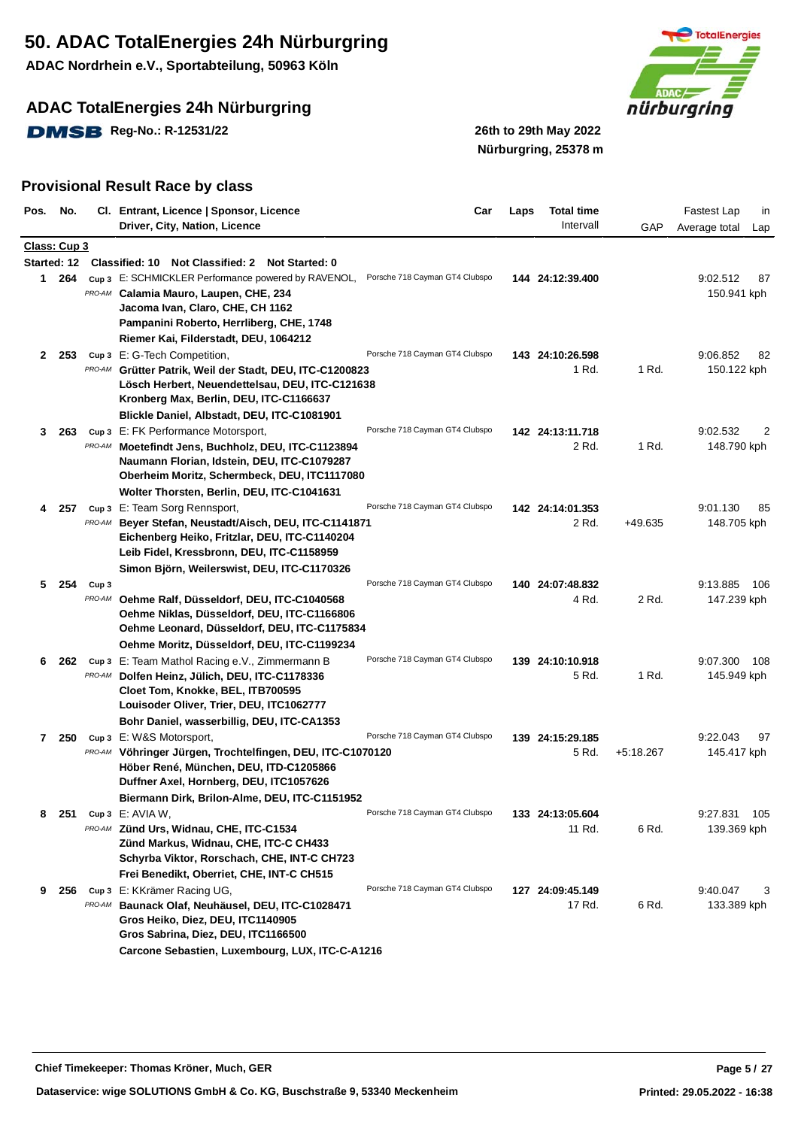**ADAC Nordrhein e.V., Sportabteilung, 50963 Köln**

## **ADAC TotalEnergies 24h Nürburgring**

**DMSB** Reg-No.: R-12531/22 26th to 29th May 2022



**Nürburgring, 25378 m**

| Pos. No.     |              |                  | Cl. Entrant, Licence   Sponsor, Licence                     | Car                            | Laps | <b>Total time</b> |             | Fastest Lap<br>in    |
|--------------|--------------|------------------|-------------------------------------------------------------|--------------------------------|------|-------------------|-------------|----------------------|
|              |              |                  | Driver, City, Nation, Licence                               |                                |      | Intervall         | GAP         | Average total<br>Lap |
|              | Class: Cup 3 |                  |                                                             |                                |      |                   |             |                      |
|              |              |                  | Started: 12 Classified: 10 Not Classified: 2 Not Started: 0 |                                |      |                   |             |                      |
|              | 1 264        |                  | Cup 3 E: SCHMICKLER Performance powered by RAVENOL,         | Porsche 718 Cayman GT4 Clubspo |      | 144 24:12:39.400  |             | 9:02.512<br>87       |
|              |              |                  | <b>PRO-AM</b> Calamia Mauro, Laupen, CHE, 234               |                                |      |                   |             | 150.941 kph          |
|              |              |                  | Jacoma Ivan, Claro, CHE, CH 1162                            |                                |      |                   |             |                      |
|              |              |                  | Pampanini Roberto, Herrliberg, CHE, 1748                    |                                |      |                   |             |                      |
|              |              |                  | Riemer Kai, Filderstadt, DEU, 1064212                       |                                |      |                   |             |                      |
|              | 2 253        |                  | Cup 3 E: G-Tech Competition,                                | Porsche 718 Cayman GT4 Clubspo |      | 143 24:10:26.598  |             | 9:06.852<br>82       |
|              |              |                  | PRO-AM Grütter Patrik, Weil der Stadt, DEU, ITC-C1200823    |                                |      | 1 Rd.             | 1 Rd.       | 150.122 kph          |
|              |              |                  | Lösch Herbert, Neuendettelsau, DEU, ITC-C121638             |                                |      |                   |             |                      |
|              |              |                  | Kronberg Max, Berlin, DEU, ITC-C1166637                     |                                |      |                   |             |                      |
|              |              |                  | Blickle Daniel, Albstadt, DEU, ITC-C1081901                 |                                |      |                   |             |                      |
| 3            | 263          |                  | Cup 3 E: FK Performance Motorsport,                         | Porsche 718 Cayman GT4 Clubspo |      | 142 24:13:11.718  |             | 9:02.532<br>2        |
|              |              |                  | PRO-AM Moetefindt Jens, Buchholz, DEU, ITC-C1123894         |                                |      | 2 Rd.             | 1 Rd.       | 148.790 kph          |
|              |              |                  | Naumann Florian, Idstein, DEU, ITC-C1079287                 |                                |      |                   |             |                      |
|              |              |                  | Oberheim Moritz, Schermbeck, DEU, ITC1117080                |                                |      |                   |             |                      |
|              |              |                  | Wolter Thorsten, Berlin, DEU, ITC-C1041631                  |                                |      |                   |             |                      |
| 4            | 257          |                  | Cup 3 E: Team Sorg Rennsport,                               | Porsche 718 Cayman GT4 Clubspo |      | 142 24:14:01.353  |             | 9:01.130<br>85       |
|              |              | PRO-AM           | Beyer Stefan, Neustadt/Aisch, DEU, ITC-C1141871             |                                |      | 2 Rd.             | +49.635     | 148.705 kph          |
|              |              |                  | Eichenberg Heiko, Fritzlar, DEU, ITC-C1140204               |                                |      |                   |             |                      |
|              |              |                  | Leib Fidel, Kressbronn, DEU, ITC-C1158959                   |                                |      |                   |             |                      |
|              |              |                  | Simon Björn, Weilerswist, DEU, ITC-C1170326                 |                                |      |                   |             |                      |
| 5            | 254          | Cup <sub>3</sub> |                                                             | Porsche 718 Cayman GT4 Clubspo |      | 140 24:07:48.832  |             | 9:13.885<br>106      |
|              |              |                  | PRO-AM Oehme Ralf, Düsseldorf, DEU, ITC-C1040568            |                                |      | 4 Rd.             | 2 Rd.       | 147.239 kph          |
|              |              |                  | Oehme Niklas, Düsseldorf, DEU, ITC-C1166806                 |                                |      |                   |             |                      |
|              |              |                  | Oehme Leonard, Düsseldorf, DEU, ITC-C1175834                |                                |      |                   |             |                      |
|              |              |                  | Oehme Moritz, Düsseldorf, DEU, ITC-C1199234                 |                                |      |                   |             |                      |
| 6            | 262          |                  | Cup 3 E: Team Mathol Racing e.V., Zimmermann B              | Porsche 718 Cayman GT4 Clubspo |      | 139 24:10:10.918  |             | 9:07.300<br>108      |
|              |              |                  | PRO-AM Dolfen Heinz, Jülich, DEU, ITC-C1178336              |                                |      | 5 Rd.             | 1 Rd.       | 145.949 kph          |
|              |              |                  | Cloet Tom, Knokke, BEL, ITB700595                           |                                |      |                   |             |                      |
|              |              |                  | Louisoder Oliver, Trier, DEU, ITC1062777                    |                                |      |                   |             |                      |
|              |              |                  | Bohr Daniel, wasserbillig, DEU, ITC-CA1353                  |                                |      |                   |             |                      |
| $\mathbf{7}$ | 250          |                  | Cup 3 E: W&S Motorsport,                                    | Porsche 718 Cayman GT4 Clubspo |      | 139 24:15:29.185  |             | 9:22.043<br>97       |
|              |              |                  | PRO-AM Vöhringer Jürgen, Trochtelfingen, DEU, ITC-C1070120  |                                |      | 5 Rd.             | $+5:18.267$ | 145.417 kph          |
|              |              |                  | Höber René, München, DEU, ITD-C1205866                      |                                |      |                   |             |                      |
|              |              |                  | Duffner Axel, Hornberg, DEU, ITC1057626                     |                                |      |                   |             |                      |
|              |              |                  | Biermann Dirk, Brilon-Alme, DEU, ITC-C1151952               |                                |      |                   |             |                      |
| 8            | -251         |                  | $cup 3$ E: AVIA W,                                          | Porsche 718 Cayman GT4 Clubspo |      | 133 24:13:05.604  |             | 9:27.831<br>- 105    |
|              |              |                  | PRO-AM Zünd Urs, Widnau, CHE, ITC-C1534                     |                                |      | 11 Rd.            | 6 Rd.       | 139.369 kph          |
|              |              |                  | Zünd Markus, Widnau, CHE, ITC-C CH433                       |                                |      |                   |             |                      |
|              |              |                  | Schyrba Viktor, Rorschach, CHE, INT-C CH723                 |                                |      |                   |             |                      |
|              |              |                  | Frei Benedikt, Oberriet, CHE, INT-C CH515                   |                                |      |                   |             |                      |
| 9            | 256          |                  | Cup 3 E: KKrämer Racing UG,                                 | Porsche 718 Cayman GT4 Clubspo |      | 127 24:09:45.149  |             | 9:40.047<br>3        |
|              |              |                  | PRO-AM Baunack Olaf, Neuhäusel, DEU, ITC-C1028471           |                                |      | 17 Rd.            | 6 Rd.       | 133.389 kph          |
|              |              |                  | Gros Heiko, Diez, DEU, ITC1140905                           |                                |      |                   |             |                      |
|              |              |                  | Gros Sabrina, Diez, DEU, ITC1166500                         |                                |      |                   |             |                      |
|              |              |                  | Carcone Sebastien, Luxembourg, LUX, ITC-C-A1216             |                                |      |                   |             |                      |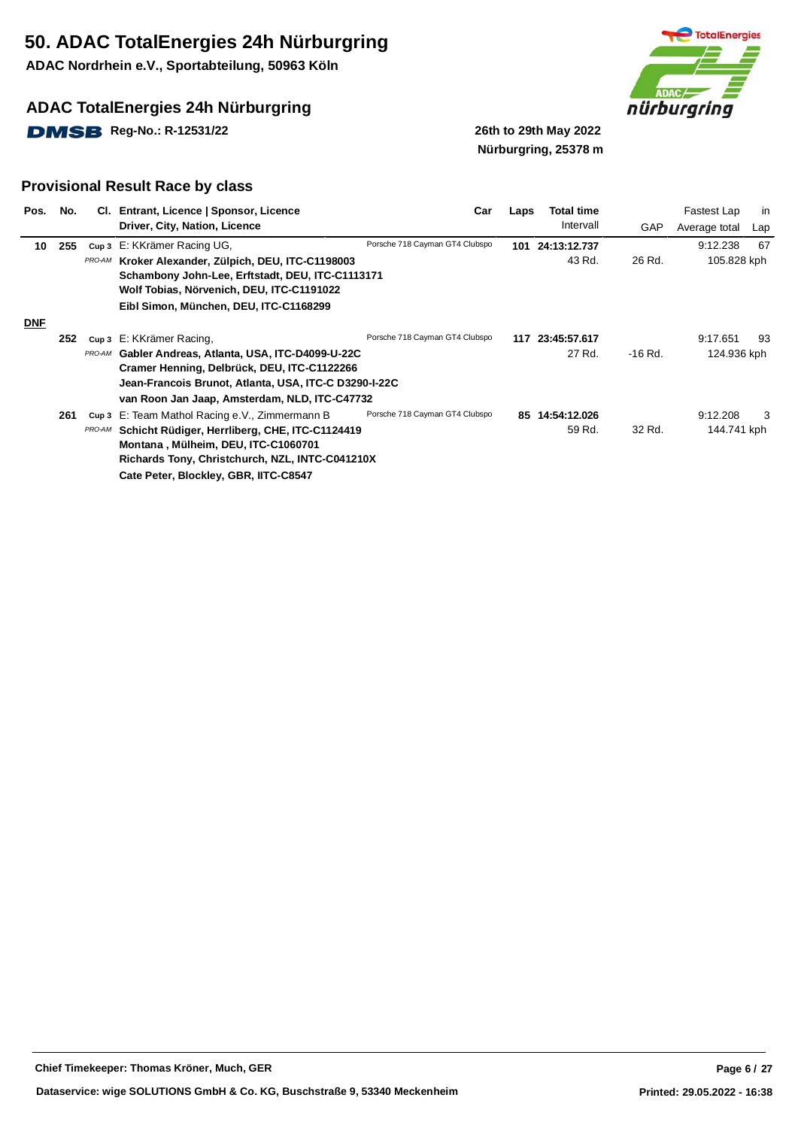**ADAC Nordrhein e.V., Sportabteilung, 50963 Köln**

## **ADAC TotalEnergies 24h Nürburgring**

**DMSB** Reg-No.: R-12531/22 26th to 29th May 2022



# **Nürburgring, 25378 m**

| Pos.       | No. |        | Cl. Entrant, Licence   Sponsor, Licence<br>Driver, City, Nation, Licence                                                                             | Car                            | Laps | <b>Total time</b><br>Intervall | GAP     | in<br>Fastest Lap<br>Average total<br>Lap |
|------------|-----|--------|------------------------------------------------------------------------------------------------------------------------------------------------------|--------------------------------|------|--------------------------------|---------|-------------------------------------------|
| 10         | 255 |        | Cup 3 E: KKrämer Racing UG,                                                                                                                          | Porsche 718 Cayman GT4 Clubspo |      | 101 24:13:12.737               |         | 67<br>9:12.238                            |
|            |     |        | PRO-AM Kroker Alexander, Zülpich, DEU, ITC-C1198003<br>Schambony John-Lee, Erftstadt, DEU, ITC-C1113171<br>Wolf Tobias, Nörvenich, DEU, ITC-C1191022 |                                |      | 43 Rd.                         | 26 Rd.  | 105.828 kph                               |
|            |     |        | Eibl Simon, München, DEU, ITC-C1168299                                                                                                               |                                |      |                                |         |                                           |
| <b>DNF</b> |     |        |                                                                                                                                                      |                                |      |                                |         |                                           |
|            | 252 |        | Cup 3 E: KKrämer Racing,                                                                                                                             | Porsche 718 Cayman GT4 Clubspo |      | 117 23:45:57.617               |         | 9:17.651<br>93                            |
|            |     | PRO-AM | Gabler Andreas, Atlanta, USA, ITC-D4099-U-22C                                                                                                        |                                |      | 27 Rd.                         | -16 Rd. | 124.936 kph                               |
|            |     |        | Cramer Henning, Delbrück, DEU, ITC-C1122266                                                                                                          |                                |      |                                |         |                                           |
|            |     |        | Jean-Francois Brunot, Atlanta, USA, ITC-C D3290-I-22C                                                                                                |                                |      |                                |         |                                           |
|            |     |        | van Roon Jan Jaap, Amsterdam, NLD, ITC-C47732                                                                                                        |                                |      |                                |         |                                           |
|            | 261 | Cup 3  | E: Team Mathol Racing e.V., Zimmermann B                                                                                                             | Porsche 718 Cayman GT4 Clubspo |      | 85 14:54:12.026                |         | 9:12.208<br>3                             |
|            |     | PRO-AM | Schicht Rüdiger, Herrliberg, CHE, ITC-C1124419                                                                                                       |                                |      | 59 Rd.                         | 32 Rd.  | 144.741 kph                               |
|            |     |        | Montana, Mülheim, DEU, ITC-C1060701                                                                                                                  |                                |      |                                |         |                                           |
|            |     |        | Richards Tony, Christchurch, NZL, INTC-C041210X                                                                                                      |                                |      |                                |         |                                           |
|            |     |        | Cate Peter, Blockley, GBR, IITC-C8547                                                                                                                |                                |      |                                |         |                                           |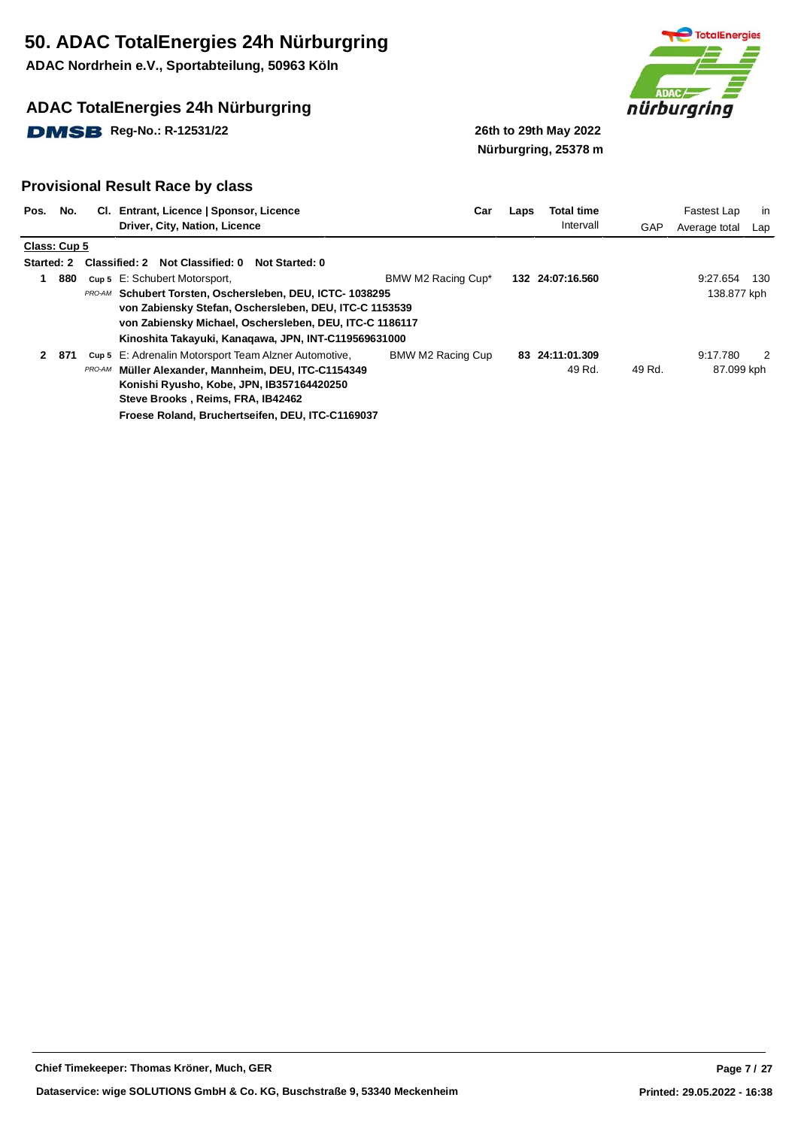**ADAC Nordrhein e.V., Sportabteilung, 50963 Köln**

## **ADAC TotalEnergies 24h Nürburgring**

**DMSB** Reg-No.: R-12531/22 26th to 29th May 2022



**Nürburgring, 25378 m**

#### **Provisional Result Race by class**

| Pos.              | No. |        | CI. Entrant, Licence   Sponsor, Licence                  | Car                | Laps | <b>Total time</b> |        | Fastest Lap   | in  |
|-------------------|-----|--------|----------------------------------------------------------|--------------------|------|-------------------|--------|---------------|-----|
|                   |     |        | Driver, City, Nation, Licence                            |                    |      | Intervall         | GAP    | Average total | Lap |
| Class: Cup 5      |     |        |                                                          |                    |      |                   |        |               |     |
| <b>Started: 2</b> |     |        | Classified: 2 Not Classified: 0<br>Not Started: 0        |                    |      |                   |        |               |     |
|                   | 880 |        | Cup 5 E: Schubert Motorsport,                            | BMW M2 Racing Cup* |      | 132 24:07:16.560  |        | 9:27.654      | 130 |
|                   |     |        | PRO-AM Schubert Torsten, Oschersleben, DEU, ICTC-1038295 |                    |      |                   |        | 138.877 kph   |     |
|                   |     |        | von Zabiensky Stefan, Oschersleben, DEU, ITC-C 1153539   |                    |      |                   |        |               |     |
|                   |     |        | von Zabiensky Michael, Oschersleben, DEU, ITC-C 1186117  |                    |      |                   |        |               |     |
|                   |     |        | Kinoshita Takayuki, Kanagawa, JPN, INT-C119569631000     |                    |      |                   |        |               |     |
| $\mathbf{2}$      | 871 |        | Cup 5 E: Adrenalin Motorsport Team Alzner Automotive,    | BMW M2 Racing Cup  |      | 83 24:11:01.309   |        | 9:17.780      | 2   |
|                   |     | PRO-AM | Müller Alexander, Mannheim, DEU, ITC-C1154349            |                    |      | 49 Rd.            | 49 Rd. | 87.099 kph    |     |
|                   |     |        | Konishi Ryusho, Kobe, JPN, IB357164420250                |                    |      |                   |        |               |     |
|                   |     |        | Steve Brooks, Reims, FRA, IB42462                        |                    |      |                   |        |               |     |
|                   |     |        |                                                          |                    |      |                   |        |               |     |

**Froese Roland, Bruchertseifen, DEU, ITC-C1169037**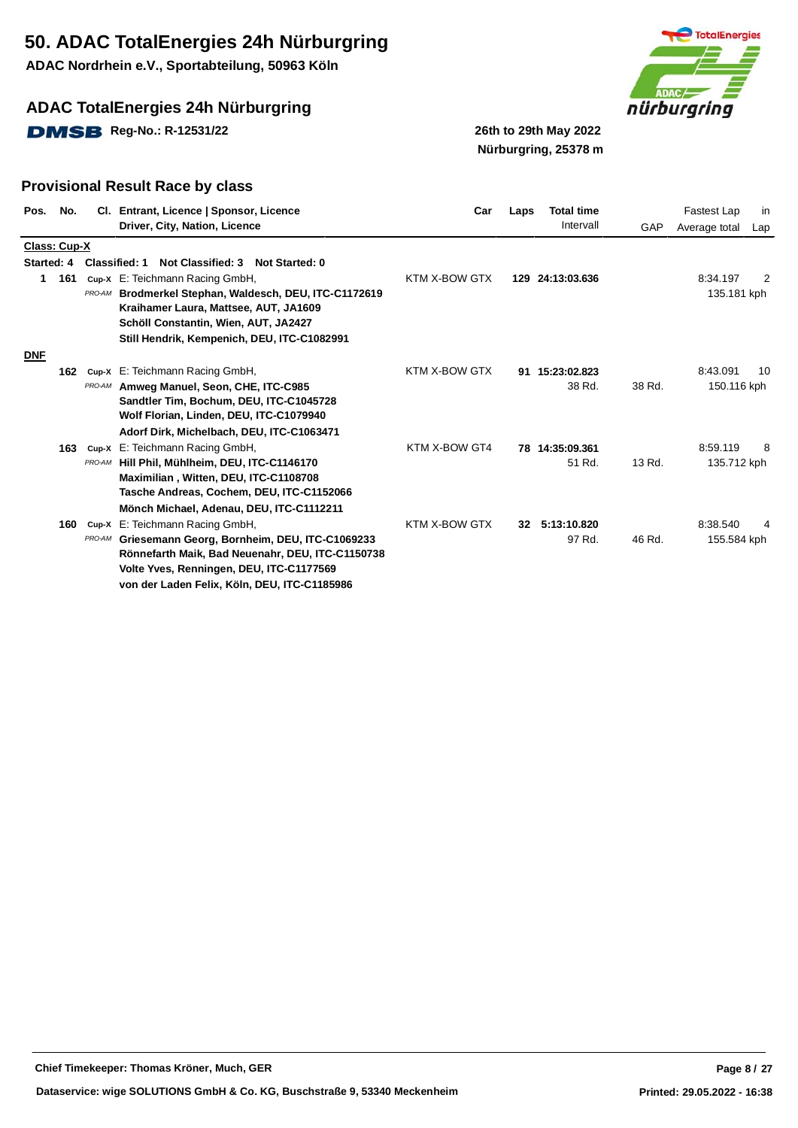**ADAC Nordrhein e.V., Sportabteilung, 50963 Köln**

## **ADAC TotalEnergies 24h Nürburgring**

**DMSB** Reg-No.: R-12531/22 26th to 29th May 2022



**Nürburgring, 25378 m**

| Pos.         | No. |        | Cl. Entrant, Licence   Sponsor, Licence<br>Driver, City, Nation, Licence                                                                                                                                                  | Car           | Laps | <b>Total time</b><br>Intervall | GAP    | Fastest Lap<br>in<br>Average total<br>Lap |
|--------------|-----|--------|---------------------------------------------------------------------------------------------------------------------------------------------------------------------------------------------------------------------------|---------------|------|--------------------------------|--------|-------------------------------------------|
| Class: Cup-X |     |        |                                                                                                                                                                                                                           |               |      |                                |        |                                           |
| Started: 4   |     |        | Classified: 1<br><b>Not Classified: 3</b><br>Not Started: 0                                                                                                                                                               |               |      |                                |        |                                           |
| 1            | 161 |        | cup-x E: Teichmann Racing GmbH,<br>PRO-AM Brodmerkel Stephan, Waldesch, DEU, ITC-C1172619<br>Kraihamer Laura, Mattsee, AUT, JA1609<br>Schöll Constantin, Wien, AUT, JA2427<br>Still Hendrik, Kempenich, DEU, ITC-C1082991 | KTM X-BOW GTX |      | 129 24:13:03.636               |        | 8:34.197<br>2<br>135.181 kph              |
| <b>DNF</b>   |     |        |                                                                                                                                                                                                                           |               |      |                                |        |                                           |
|              | 162 | PRO-AM | Cup-X E: Teichmann Racing GmbH,<br>Amweg Manuel, Seon, CHE, ITC-C985<br>Sandtler Tim, Bochum, DEU, ITC-C1045728<br>Wolf Florian, Linden, DEU, ITC-C1079940                                                                | KTM X-BOW GTX |      | 91 15:23:02.823<br>38 Rd.      | 38 Rd. | 8:43.091<br>10<br>150.116 kph             |
|              | 163 |        | Adorf Dirk, Michelbach, DEU, ITC-C1063471<br>cup-x E: Teichmann Racing GmbH,                                                                                                                                              | KTM X-BOW GT4 |      | 78 14:35:09.361                |        | 8:59.119<br>8                             |
|              |     | PRO-AM | Hill Phil, Mühlheim, DEU, ITC-C1146170<br>Maximilian, Witten, DEU, ITC-C1108708<br>Tasche Andreas, Cochem, DEU, ITC-C1152066<br>Mönch Michael, Adenau, DEU, ITC-C1112211                                                  |               |      | 51 Rd.                         | 13 Rd. | 135.712 kph                               |
|              | 160 | Cup-X  | E: Teichmann Racing GmbH,                                                                                                                                                                                                 | KTM X-BOW GTX | 32   | 5:13:10.820                    |        | 8:38.540                                  |
|              |     | PRO-AM | Griesemann Georg, Bornheim, DEU, ITC-C1069233<br>Rönnefarth Maik, Bad Neuenahr, DEU, ITC-C1150738<br>Volte Yves, Renningen, DEU, ITC-C1177569<br>von der Laden Felix, Köln, DEU, ITC-C1185986                             |               |      | 97 Rd.                         | 46 Rd. | 155.584 kph                               |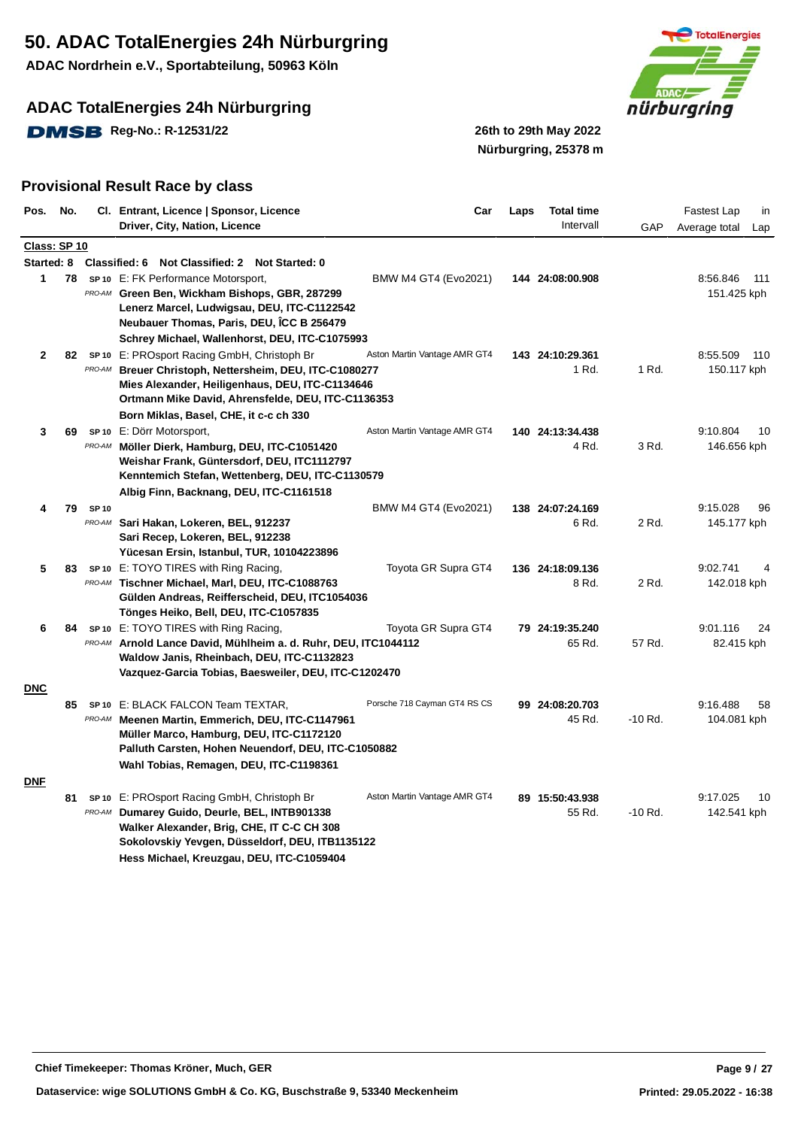**ADAC Nordrhein e.V., Sportabteilung, 50963 Köln**

## **ADAC TotalEnergies 24h Nürburgring**

**DMSB** Reg-No.: R-12531/22 26th to 29th May 2022



**Nürburgring, 25378 m**

| Pos.         | No. |             | Cl. Entrant, Licence   Sponsor, Licence                                                           | Car                          | Laps | <b>Total time</b>         |           | Fastest Lap<br>in            |
|--------------|-----|-------------|---------------------------------------------------------------------------------------------------|------------------------------|------|---------------------------|-----------|------------------------------|
|              |     |             | Driver, City, Nation, Licence                                                                     |                              |      | Intervall                 | GAP       | Average total<br>Lap         |
| Class: SP 10 |     |             |                                                                                                   |                              |      |                           |           |                              |
|              |     |             | Started: 8 Classified: 6 Not Classified: 2 Not Started: 0                                         |                              |      |                           |           |                              |
| 1            | 78  |             | SP <sub>10</sub> E: FK Performance Motorsport,                                                    | BMW M4 GT4 (Evo2021)         |      | 144 24:08:00.908          |           | 8:56.846<br>111              |
|              |     |             | PRO-AM Green Ben, Wickham Bishops, GBR, 287299                                                    |                              |      |                           |           | 151.425 kph                  |
|              |     |             | Lenerz Marcel, Ludwigsau, DEU, ITC-C1122542<br>Neubauer Thomas, Paris, DEU, ICC B 256479          |                              |      |                           |           |                              |
|              |     |             | Schrey Michael, Wallenhorst, DEU, ITC-C1075993                                                    |                              |      |                           |           |                              |
| 2            | 82  |             | SP 10 E: PROsport Racing GmbH, Christoph Br                                                       | Aston Martin Vantage AMR GT4 |      | 143 24:10:29.361          |           | 8.55.509<br>110              |
|              |     | PRO-AM      | Breuer Christoph, Nettersheim, DEU, ITC-C1080277                                                  |                              |      | 1 Rd.                     | 1 Rd.     | 150.117 kph                  |
|              |     |             | Mies Alexander, Heiligenhaus, DEU, ITC-C1134646                                                   |                              |      |                           |           |                              |
|              |     |             | Ortmann Mike David, Ahrensfelde, DEU, ITC-C1136353                                                |                              |      |                           |           |                              |
|              |     |             | Born Miklas, Basel, CHE, it c-c ch 330                                                            |                              |      |                           |           |                              |
| 3            | 69  |             | SP 10 E: Dörr Motorsport,                                                                         | Aston Martin Vantage AMR GT4 |      | 140 24:13:34.438          |           | 9:10.804<br>10               |
|              |     | PRO-AM      | Möller Dierk, Hamburg, DEU, ITC-C1051420                                                          |                              |      | 4 Rd.                     | 3 Rd.     | 146.656 kph                  |
|              |     |             | Weishar Frank, Güntersdorf, DEU, ITC1112797                                                       |                              |      |                           |           |                              |
|              |     |             | Kenntemich Stefan, Wettenberg, DEU, ITC-C1130579                                                  |                              |      |                           |           |                              |
|              |     |             | Albig Finn, Backnang, DEU, ITC-C1161518                                                           |                              |      |                           |           |                              |
| 4            | 79  | <b>SP10</b> |                                                                                                   | BMW M4 GT4 (Evo2021)         |      | 138 24:07:24.169          |           | 9:15.028<br>96               |
|              |     |             | PRO-AM Sari Hakan, Lokeren, BEL, 912237                                                           |                              |      | 6 Rd.                     | 2 Rd.     | 145.177 kph                  |
|              |     |             | Sari Recep, Lokeren, BEL, 912238                                                                  |                              |      |                           |           |                              |
|              |     |             | Yücesan Ersin, Istanbul, TUR, 10104223896                                                         |                              |      |                           |           |                              |
| 5            | 83  |             | SP 10 E: TOYO TIRES with Ring Racing,                                                             | Toyota GR Supra GT4          |      | 136 24:18:09.136          |           | 9:02.741<br>4                |
|              |     |             | PRO-AM Tischner Michael, Marl, DEU, ITC-C1088763                                                  |                              |      | 8 Rd.                     | 2 Rd.     | 142.018 kph                  |
|              |     |             | Gülden Andreas, Reifferscheid, DEU, ITC1054036                                                    |                              |      |                           |           |                              |
|              |     |             | Tönges Heiko, Bell, DEU, ITC-C1057835                                                             |                              |      |                           |           |                              |
| 6            | 84  | PRO-AM      | SP 10 E: TOYO TIRES with Ring Racing,<br>Arnold Lance David, Mühlheim a. d. Ruhr, DEU, ITC1044112 | Toyota GR Supra GT4          |      | 79 24:19:35.240<br>65 Rd. | 57 Rd.    | 9:01.116<br>24<br>82.415 kph |
|              |     |             | Waldow Janis, Rheinbach, DEU, ITC-C1132823                                                        |                              |      |                           |           |                              |
|              |     |             | Vazquez-Garcia Tobias, Baesweiler, DEU, ITC-C1202470                                              |                              |      |                           |           |                              |
| <b>DNC</b>   |     |             |                                                                                                   |                              |      |                           |           |                              |
|              | 85  |             | SP 10 E: BLACK FALCON Team TEXTAR,                                                                | Porsche 718 Cayman GT4 RS CS |      | 99 24:08:20.703           |           | 9:16.488<br>58               |
|              |     | PRO-AM      | Meenen Martin, Emmerich, DEU, ITC-C1147961                                                        |                              |      | 45 Rd.                    | $-10$ Rd. | 104.081 kph                  |
|              |     |             | Müller Marco, Hamburg, DEU, ITC-C1172120                                                          |                              |      |                           |           |                              |
|              |     |             | Palluth Carsten, Hohen Neuendorf, DEU, ITC-C1050882                                               |                              |      |                           |           |                              |
|              |     |             | Wahl Tobias, Remagen, DEU, ITC-C1198361                                                           |                              |      |                           |           |                              |
| <b>DNF</b>   |     |             |                                                                                                   |                              |      |                           |           |                              |
|              | 81  |             | SP 10 E: PROsport Racing GmbH, Christoph Br                                                       | Aston Martin Vantage AMR GT4 |      | 89 15:50:43.938           |           | 9:17.025<br>10               |
|              |     | PRO-AM      | Dumarey Guido, Deurle, BEL, INTB901338                                                            |                              |      | 55 Rd.                    | $-10$ Rd. | 142.541 kph                  |
|              |     |             | Walker Alexander, Brig, CHE, IT C-C CH 308                                                        |                              |      |                           |           |                              |
|              |     |             | Sokolovskiy Yevgen, Düsseldorf, DEU, ITB1135122                                                   |                              |      |                           |           |                              |
|              |     |             | Hess Michael, Kreuzgau, DEU, ITC-C1059404                                                         |                              |      |                           |           |                              |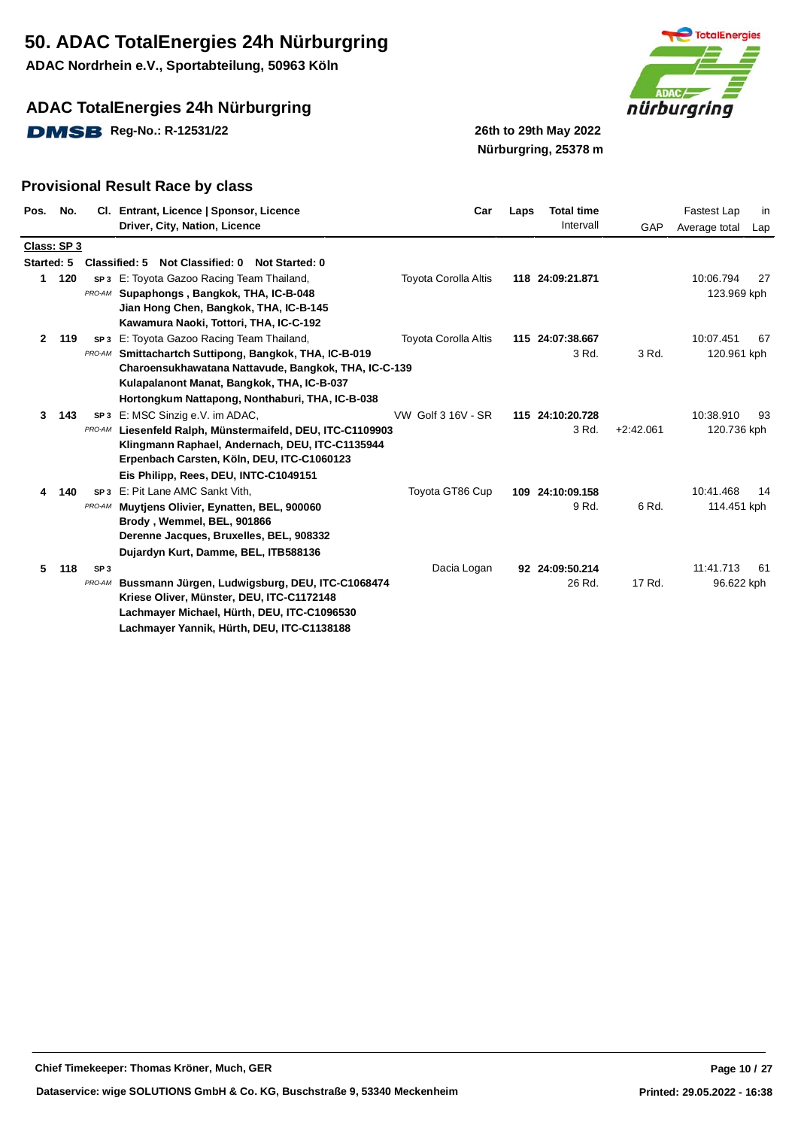**ADAC Nordrhein e.V., Sportabteilung, 50963 Köln**

## **ADAC TotalEnergies 24h Nürburgring**

**DMSB** Reg-No.: R-12531/22 26th to 29th May 2022



**Nürburgring, 25378 m**

| Pos.         | No.         |                 | CI. Entrant, Licence   Sponsor, Licence<br>Driver, City, Nation, Licence            | Car                         | Laps | <b>Total time</b><br>Intervall | GAP         | Fastest Lap<br>Average total | in<br>Lap |
|--------------|-------------|-----------------|-------------------------------------------------------------------------------------|-----------------------------|------|--------------------------------|-------------|------------------------------|-----------|
|              | Class: SP 3 |                 |                                                                                     |                             |      |                                |             |                              |           |
| Started: 5   |             |                 | Classified: 5 Not Classified: 0 Not Started: 0                                      |                             |      |                                |             |                              |           |
| $\mathbf{1}$ | 120         |                 | <b>SP3</b> E: Toyota Gazoo Racing Team Thailand,                                    | <b>Toyota Corolla Altis</b> |      | 118 24:09:21.871               |             | 10:06.794                    | 27        |
|              |             | PRO-AM          | Supaphongs, Bangkok, THA, IC-B-048                                                  |                             |      |                                |             | 123.969 kph                  |           |
|              |             |                 | Jian Hong Chen, Bangkok, THA, IC-B-145                                              |                             |      |                                |             |                              |           |
| $\mathbf{2}$ |             |                 | Kawamura Naoki, Tottori, THA, IC-C-192<br>SP3 E: Toyota Gazoo Racing Team Thailand, | <b>Toyota Corolla Altis</b> |      | 115 24:07:38.667               |             | 10:07.451                    | 67        |
|              | 119         | PRO-AM          | Smittachartch Suttipong, Bangkok, THA, IC-B-019                                     |                             |      | 3 Rd.                          | 3 Rd.       | 120.961 kph                  |           |
|              |             |                 | Charoensukhawatana Nattavude, Bangkok, THA, IC-C-139                                |                             |      |                                |             |                              |           |
|              |             |                 | Kulapalanont Manat, Bangkok, THA, IC-B-037                                          |                             |      |                                |             |                              |           |
|              |             |                 | Hortongkum Nattapong, Nonthaburi, THA, IC-B-038                                     |                             |      |                                |             |                              |           |
| 3            | 143         |                 | SP3 E: MSC Sinzig e.V. im ADAC,                                                     | VW Golf 3 16V - SR          |      | 115 24:10:20.728               |             | 10:38.910                    | 93        |
|              |             | PRO-AM          | Liesenfeld Ralph, Münstermaifeld, DEU, ITC-C1109903                                 |                             |      | 3 Rd.                          | $+2:42.061$ | 120.736 kph                  |           |
|              |             |                 | Klingmann Raphael, Andernach, DEU, ITC-C1135944                                     |                             |      |                                |             |                              |           |
|              |             |                 | Erpenbach Carsten, Köln, DEU, ITC-C1060123                                          |                             |      |                                |             |                              |           |
|              |             |                 | Eis Philipp, Rees, DEU, INTC-C1049151                                               |                             |      |                                |             |                              |           |
| 4            | 140         |                 | SP <sub>3</sub> E: Pit Lane AMC Sankt Vith.                                         | Toyota GT86 Cup             |      | 109 24:10:09.158               |             | 10:41.468                    | -14       |
|              |             | PRO-AM          | Muytiens Olivier, Eynatten, BEL, 900060                                             |                             |      | 9 Rd.                          | 6 Rd.       | 114.451 kph                  |           |
|              |             |                 | Brody, Wemmel, BEL, 901866                                                          |                             |      |                                |             |                              |           |
|              |             |                 | Derenne Jacques, Bruxelles, BEL, 908332                                             |                             |      |                                |             |                              |           |
|              |             |                 | Dujardyn Kurt, Damme, BEL, ITB588136                                                |                             |      |                                |             |                              |           |
| 5.           | 118         | SP <sub>3</sub> |                                                                                     | Dacia Logan                 |      | 92 24:09:50.214                |             | 11:41.713                    | -61       |
|              |             | PRO-AM          | Bussmann Jürgen, Ludwigsburg, DEU, ITC-C1068474                                     |                             |      | 26 Rd.                         | 17 Rd.      | 96.622 kph                   |           |
|              |             |                 | Kriese Oliver, Münster, DEU, ITC-C1172148                                           |                             |      |                                |             |                              |           |
|              |             |                 | Lachmayer Michael, Hürth, DEU, ITC-C1096530                                         |                             |      |                                |             |                              |           |
|              |             |                 | Lachmayer Yannik, Hürth, DEU, ITC-C1138188                                          |                             |      |                                |             |                              |           |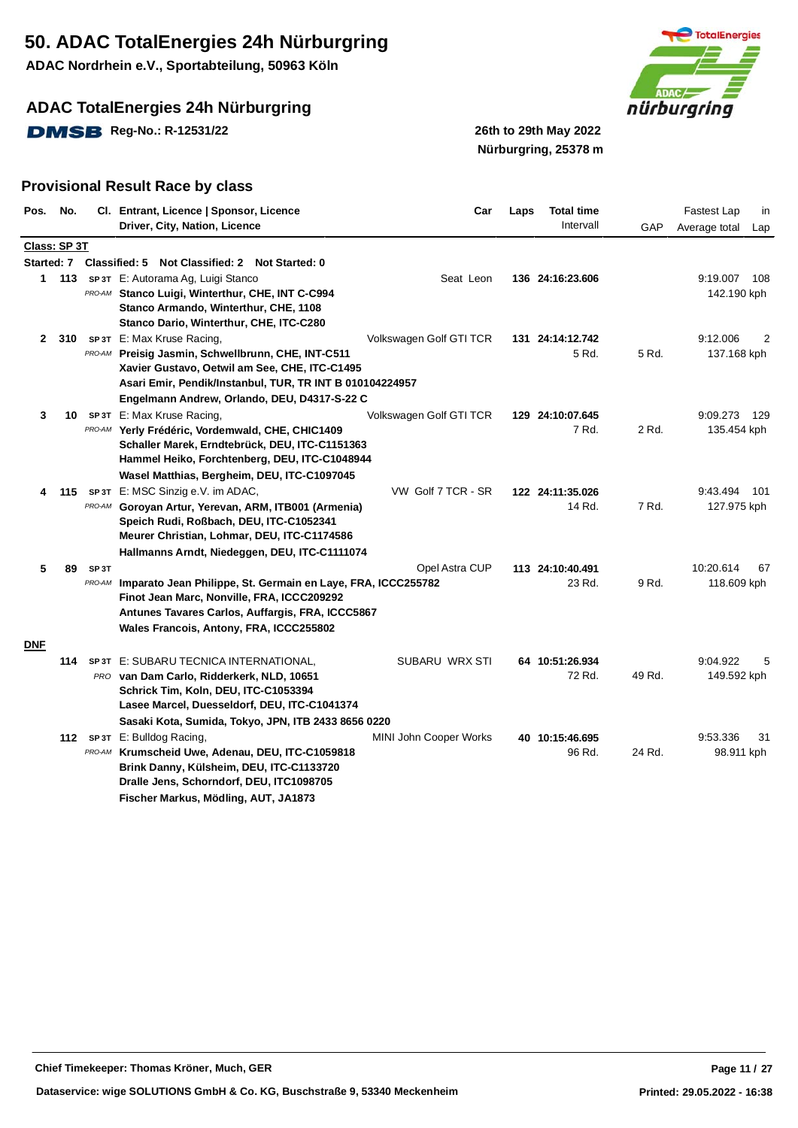**ADAC Nordrhein e.V., Sportabteilung, 50963 Köln**

## **ADAC TotalEnergies 24h Nürburgring**

**DMSB** Reg-No.: R-12531/22 26th to 29th May 2022



**Nürburgring, 25378 m**

| Pos.         | No.          |                             | Cl. Entrant, Licence   Sponsor, Licence<br>Driver, City, Nation, Licence                                                                                                                                                           | Car                     | Laps | <b>Total time</b><br>Intervall | GAP    | Fastest Lap<br>in<br>Average total<br>Lap |
|--------------|--------------|-----------------------------|------------------------------------------------------------------------------------------------------------------------------------------------------------------------------------------------------------------------------------|-------------------------|------|--------------------------------|--------|-------------------------------------------|
|              | Class: SP 3T |                             |                                                                                                                                                                                                                                    |                         |      |                                |        |                                           |
|              |              |                             | Started: 7 Classified: 5 Not Classified: 2 Not Started: 0                                                                                                                                                                          |                         |      |                                |        |                                           |
|              | 1 113        |                             | SP 3T E: Autorama Ag, Luigi Stanco<br>PRO-AM Stanco Luigi, Winterthur, CHE, INT C-C994<br>Stanco Armando, Winterthur, CHE, 1108<br>Stanco Dario, Winterthur, CHE, ITC-C280                                                         | Seat Leon               |      | 136 24:16:23.606               |        | 9:19.007<br>108<br>142.190 kph            |
| $\mathbf{2}$ | 310          | PRO-AM                      | SP 3T E: Max Kruse Racing,<br>Preisig Jasmin, Schwellbrunn, CHE, INT-C511<br>Xavier Gustavo, Oetwil am See, CHE, ITC-C1495<br>Asari Emir, Pendik/Instanbul, TUR, TR INT B 010104224957                                             | Volkswagen Golf GTI TCR |      | 131 24:14:12.742<br>5 Rd.      | 5 Rd.  | 9:12.006<br>2<br>137.168 kph              |
| 3            | 10           |                             | Engelmann Andrew, Orlando, DEU, D4317-S-22 C<br>SP 3T E: Max Kruse Racing,<br>PRO-AM Yerly Frédéric, Vordemwald, CHE, CHIC1409<br>Schaller Marek, Erndtebrück, DEU, ITC-C1151363<br>Hammel Heiko, Forchtenberg, DEU, ITC-C1048944  | Volkswagen Golf GTI TCR |      | 129 24:10:07.645<br>7 Rd.      | 2 Rd.  | 9:09.273<br>129<br>135.454 kph            |
| 4            | 115          |                             | Wasel Matthias, Bergheim, DEU, ITC-C1097045<br>SP 3T E: MSC Sinzig e.V. im ADAC,<br>PRO-AM Goroyan Artur, Yerevan, ARM, ITB001 (Armenia)<br>Speich Rudi, Roßbach, DEU, ITC-C1052341<br>Meurer Christian, Lohmar, DEU, ITC-C1174586 | VW Golf 7 TCR - SR      |      | 122 24:11:35.026<br>14 Rd.     | 7 Rd.  | 9:43.494<br>- 101<br>127.975 kph          |
|              |              |                             | Hallmanns Arndt, Niedeggen, DEU, ITC-C1111074                                                                                                                                                                                      |                         |      |                                |        |                                           |
| 5            | 89           | SP <sub>3</sub> T<br>PRO-AM | Imparato Jean Philippe, St. Germain en Laye, FRA, ICCC255782<br>Finot Jean Marc, Nonville, FRA, ICCC209292<br>Antunes Tavares Carlos, Auffargis, FRA, ICCC5867<br>Wales Francois, Antony, FRA, ICCC255802                          | Opel Astra CUP          |      | 113 24:10:40.491<br>23 Rd.     | 9 Rd.  | 10:20.614<br>67<br>118.609 kph            |
| <b>DNF</b>   | 114          |                             | SP 3T E: SUBARU TECNICA INTERNATIONAL,<br>PRO van Dam Carlo, Ridderkerk, NLD, 10651<br>Schrick Tim, Koln, DEU, ITC-C1053394<br>Lasee Marcel, Duesseldorf, DEU, ITC-C1041374<br>Sasaki Kota, Sumida, Tokyo, JPN, ITB 2433 8656 0220 | SUBARU WRX STI          |      | 64 10:51:26.934<br>72 Rd.      | 49 Rd. | 9:04.922<br>5<br>149.592 kph              |
|              |              |                             | 112 SP 3T E: Bulldog Racing,<br>PRO-AM Krumscheid Uwe, Adenau, DEU, ITC-C1059818<br>Brink Danny, Külsheim, DEU, ITC-C1133720<br>Dralle Jens, Schorndorf, DEU, ITC1098705<br>Fischer Markus, Mödling, AUT, JA1873                   | MINI John Cooper Works  |      | 40 10:15:46.695<br>96 Rd.      | 24 Rd. | 9:53.336<br>31<br>98.911 kph              |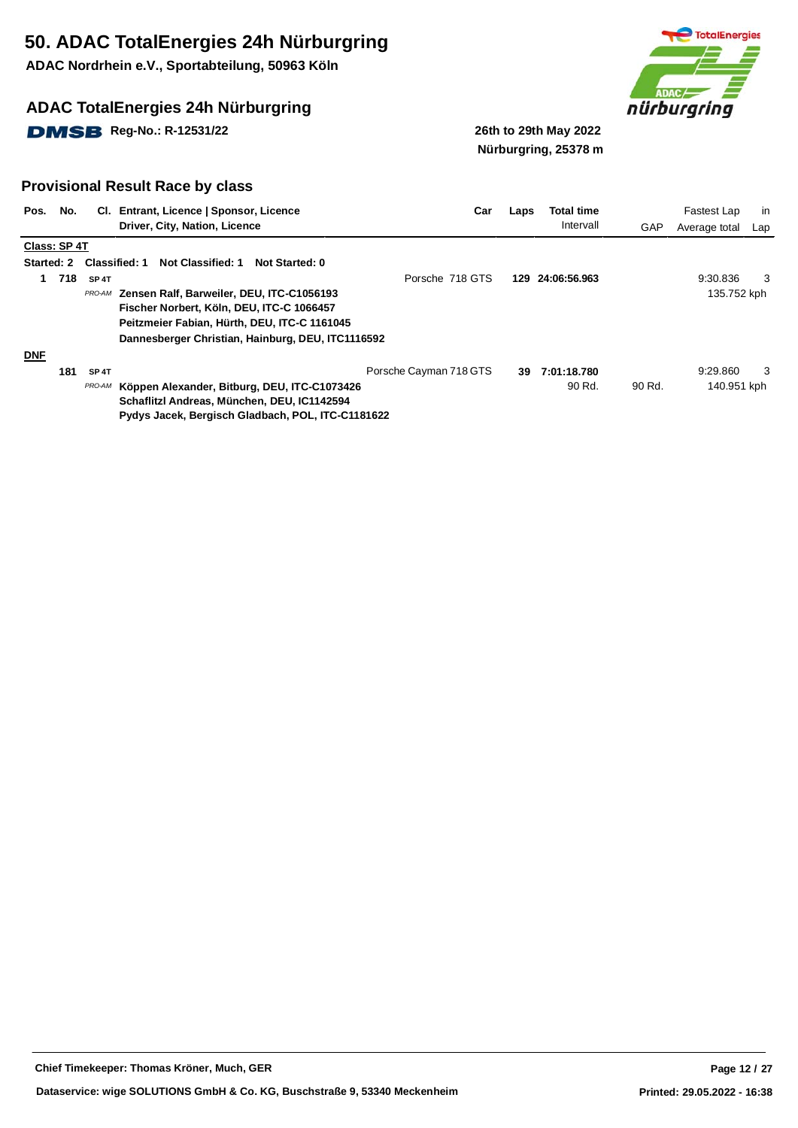**ADAC Nordrhein e.V., Sportabteilung, 50963 Köln**

## **ADAC TotalEnergies 24h Nürburgring**

**DMSB** Reg-No.: R-12531/22 26th to 29th May 2022



**Nürburgring, 25378 m**

| Pos.       | No.               |                   | CI. Entrant, Licence   Sponsor, Licence                    | Car                    | Laps | Total time   |            | Fastest Lap   | in  |
|------------|-------------------|-------------------|------------------------------------------------------------|------------------------|------|--------------|------------|---------------|-----|
|            |                   |                   | Driver, City, Nation, Licence                              |                        |      | Intervall    | <b>GAP</b> | Average total | Lap |
|            | Class: SP4T       |                   |                                                            |                        |      |              |            |               |     |
|            | <b>Started: 2</b> |                   | Classified: 1<br>Not Classified: 1<br>Not Started: 0       |                        |      |              |            |               |     |
| 1          | 718               | SP <sub>4T</sub>  |                                                            | Porsche 718 GTS        | 129  | 24:06:56.963 |            | 9:30.836      | 3   |
|            |                   |                   | PRO-AM Zensen Ralf, Barweiler, DEU, ITC-C1056193           |                        |      |              |            | 135.752 kph   |     |
|            |                   |                   | Fischer Norbert, Köln, DEU, ITC-C 1066457                  |                        |      |              |            |               |     |
|            |                   |                   | Peitzmeier Fabian, Hürth, DEU, ITC-C 1161045               |                        |      |              |            |               |     |
|            |                   |                   | Dannesberger Christian, Hainburg, DEU, ITC1116592          |                        |      |              |            |               |     |
| <b>DNF</b> |                   |                   |                                                            |                        |      |              |            |               |     |
|            | 181               | SP <sub>4</sub> T |                                                            | Porsche Cayman 718 GTS | 39   | 7:01:18.780  |            | 9:29.860      | -3  |
|            |                   |                   | <b>PRO-AM</b> Köppen Alexander, Bitburg, DEU, ITC-C1073426 |                        |      | 90 Rd.       | 90 Rd.     | 140.951 kph   |     |
|            |                   |                   | Schaflitzl Andreas, München, DEU, IC1142594                |                        |      |              |            |               |     |
|            |                   |                   | Pydys Jacek, Bergisch Gladbach, POL, ITC-C1181622          |                        |      |              |            |               |     |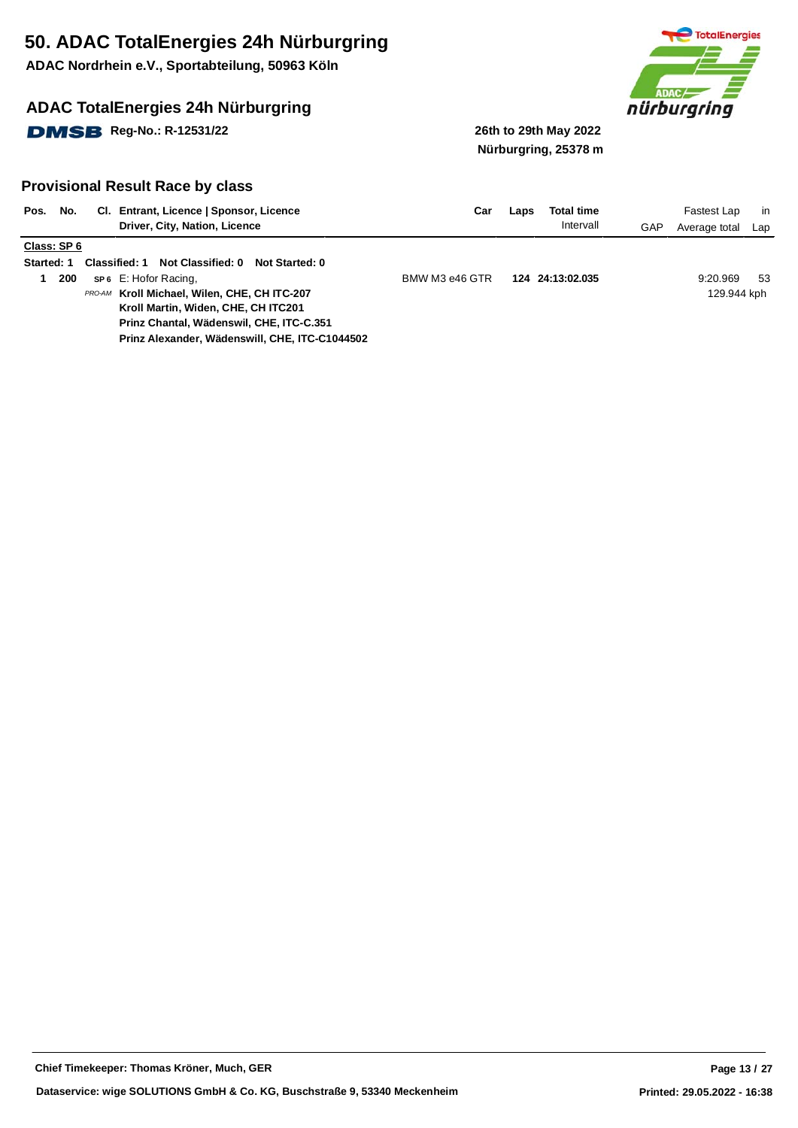**ADAC Nordrhein e.V., Sportabteilung, 50963 Köln**

## **ADAC TotalEnergies 24h Nürburgring**

**DMSB** Reg-No.: R-12531/22 26th to 29th May 2022



**Nürburgring, 25378 m**

| Pos.<br>No.       | CI. Entrant, Licence   Sponsor, Licence<br>Driver, City, Nation, Licence | Car            | Laps | Total time<br>Intervall | GAP | Fastest Lap<br>Average total | in<br>Lap |
|-------------------|--------------------------------------------------------------------------|----------------|------|-------------------------|-----|------------------------------|-----------|
| Class: SP 6       |                                                                          |                |      |                         |     |                              |           |
| <b>Started: 1</b> | Not Classified: 0<br><b>Classified: 1</b><br>Not Started: 0              |                |      |                         |     |                              |           |
|                   |                                                                          |                |      |                         |     |                              |           |
| 200               | <b>SP6</b> E: Hofor Racing,                                              | BMW M3 e46 GTR |      | 124 24:13:02.035        |     | 9:20.969                     | 53        |
|                   | PRO-AM Kroll Michael, Wilen, CHE, CH ITC-207                             |                |      |                         |     | 129.944 kph                  |           |
|                   | Kroll Martin, Widen, CHE, CH ITC201                                      |                |      |                         |     |                              |           |
|                   | Prinz Chantal, Wädenswil, CHE, ITC-C.351                                 |                |      |                         |     |                              |           |
|                   | Prinz Alexander, Wädenswill, CHE, ITC-C1044502                           |                |      |                         |     |                              |           |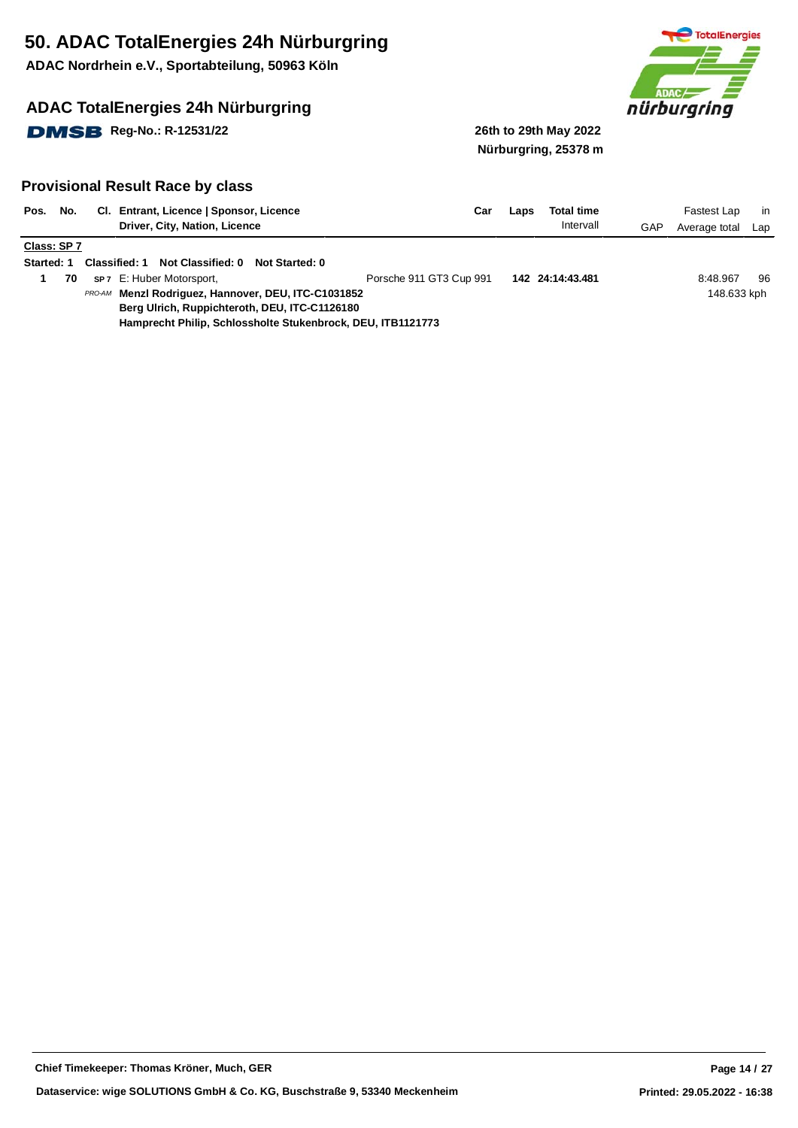**ADAC Nordrhein e.V., Sportabteilung, 50963 Köln**

## **ADAC TotalEnergies 24h Nürburgring**

**DMSB** Reg-No.: R-12531/22 26th to 29th May 2022



**Nürburgring, 25378 m**

| Pos.        | No. | CI. Entrant, Licence   Sponsor, Licence<br>Driver, City, Nation, Licence | Car                     | Laps | <b>Total time</b><br>Intervall | GAP | Fastest Lap<br>Average total | in.<br>Lap |
|-------------|-----|--------------------------------------------------------------------------|-------------------------|------|--------------------------------|-----|------------------------------|------------|
| Class: SP 7 |     |                                                                          |                         |      |                                |     |                              |            |
| Started: 1  |     | Not Classified: 0<br><b>Classified: 1</b><br>Not Started: 0              |                         |      |                                |     |                              |            |
|             | 70  | sp 7 E: Huber Motorsport,                                                | Porsche 911 GT3 Cup 991 |      | 142 24:14:43.481               |     | 8:48.967                     | 96         |
|             |     | PRO-AM Menzl Rodriguez, Hannover, DEU, ITC-C1031852                      |                         |      |                                |     | 148.633 kph                  |            |
|             |     | Berg Ulrich, Ruppichteroth, DEU, ITC-C1126180                            |                         |      |                                |     |                              |            |
|             |     | Hamprecht Philip, Schlossholte Stukenbrock, DEU, ITB1121773              |                         |      |                                |     |                              |            |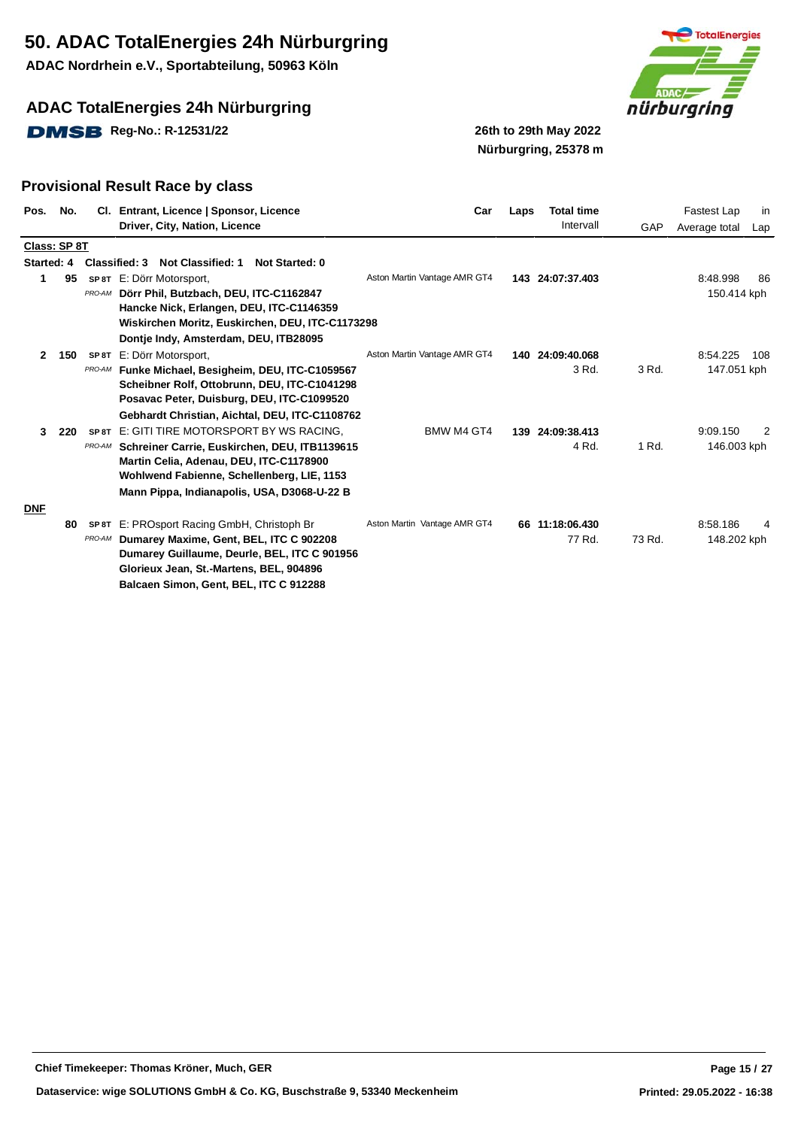**ADAC Nordrhein e.V., Sportabteilung, 50963 Köln**

## **ADAC TotalEnergies 24h Nürburgring**

**DMSB** Reg-No.: R-12531/22 26th to 29th May 2022



**Nürburgring, 25378 m**

| Pos.       | No.          | CI.    | Entrant, Licence   Sponsor, Licence<br>Driver, City, Nation, Licence | Car                          | Laps | <b>Total time</b><br>Intervall | GAP    | Fastest Lap<br>in<br>Average total<br>Lap |
|------------|--------------|--------|----------------------------------------------------------------------|------------------------------|------|--------------------------------|--------|-------------------------------------------|
|            | Class: SP 8T |        |                                                                      |                              |      |                                |        |                                           |
| Started: 4 |              |        | Classified: 3<br><b>Not Started: 0</b><br><b>Not Classified: 1</b>   |                              |      |                                |        |                                           |
| 1          | 95           |        | SP 8T E: Dörr Motorsport,                                            | Aston Martin Vantage AMR GT4 |      | 143 24:07:37.403               |        | 8:48.998<br>86                            |
|            |              | PRO-AM | Dörr Phil, Butzbach, DEU, ITC-C1162847                               |                              |      |                                |        | 150.414 kph                               |
|            |              |        | Hancke Nick, Erlangen, DEU, ITC-C1146359                             |                              |      |                                |        |                                           |
|            |              |        | Wiskirchen Moritz, Euskirchen, DEU, ITC-C1173298                     |                              |      |                                |        |                                           |
|            |              |        | Dontje Indy, Amsterdam, DEU, ITB28095                                |                              |      |                                |        |                                           |
| 2          | 150          | SP 8T  | E: Dörr Motorsport,                                                  | Aston Martin Vantage AMR GT4 |      | 140 24:09:40.068               |        | 8:54.225<br>108                           |
|            |              | PRO-AM | Funke Michael, Besigheim, DEU, ITC-C1059567                          |                              |      | 3 Rd.                          | 3 Rd.  | 147.051 kph                               |
|            |              |        | Scheibner Rolf, Ottobrunn, DEU, ITC-C1041298                         |                              |      |                                |        |                                           |
|            |              |        | Posavac Peter, Duisburg, DEU, ITC-C1099520                           |                              |      |                                |        |                                           |
|            |              |        | Gebhardt Christian, Aichtal, DEU, ITC-C1108762                       |                              |      |                                |        |                                           |
| 3          | -220         | SP 8T  | E: GITI TIRE MOTORSPORT BY WS RACING.                                | BMW M4 GT4                   | 139  | 24:09:38.413                   |        | 9:09.150<br>2                             |
|            |              | PRO-AM | Schreiner Carrie, Euskirchen, DEU, ITB1139615                        |                              |      | 4 Rd.                          | 1 Rd.  | 146.003 kph                               |
|            |              |        | Martin Celia, Adenau, DEU, ITC-C1178900                              |                              |      |                                |        |                                           |
|            |              |        | Wohlwend Fabienne, Schellenberg, LIE, 1153                           |                              |      |                                |        |                                           |
|            |              |        | Mann Pippa, Indianapolis, USA, D3068-U-22 B                          |                              |      |                                |        |                                           |
| <b>DNF</b> |              |        |                                                                      |                              |      |                                |        |                                           |
|            | 80           | SP 8T  | E: PROsport Racing GmbH, Christoph Br                                | Aston Martin Vantage AMR GT4 |      | 66 11:18:06.430                |        | 8:58.186                                  |
|            |              | PRO-AM | Dumarey Maxime, Gent, BEL, ITC C 902208                              |                              |      | 77 Rd.                         | 73 Rd. | 148.202 kph                               |
|            |              |        | Dumarey Guillaume, Deurle, BEL, ITC C 901956                         |                              |      |                                |        |                                           |
|            |              |        | Glorieux Jean, St.-Martens, BEL, 904896                              |                              |      |                                |        |                                           |
|            |              |        | Balcaen Simon, Gent, BEL, ITC C 912288                               |                              |      |                                |        |                                           |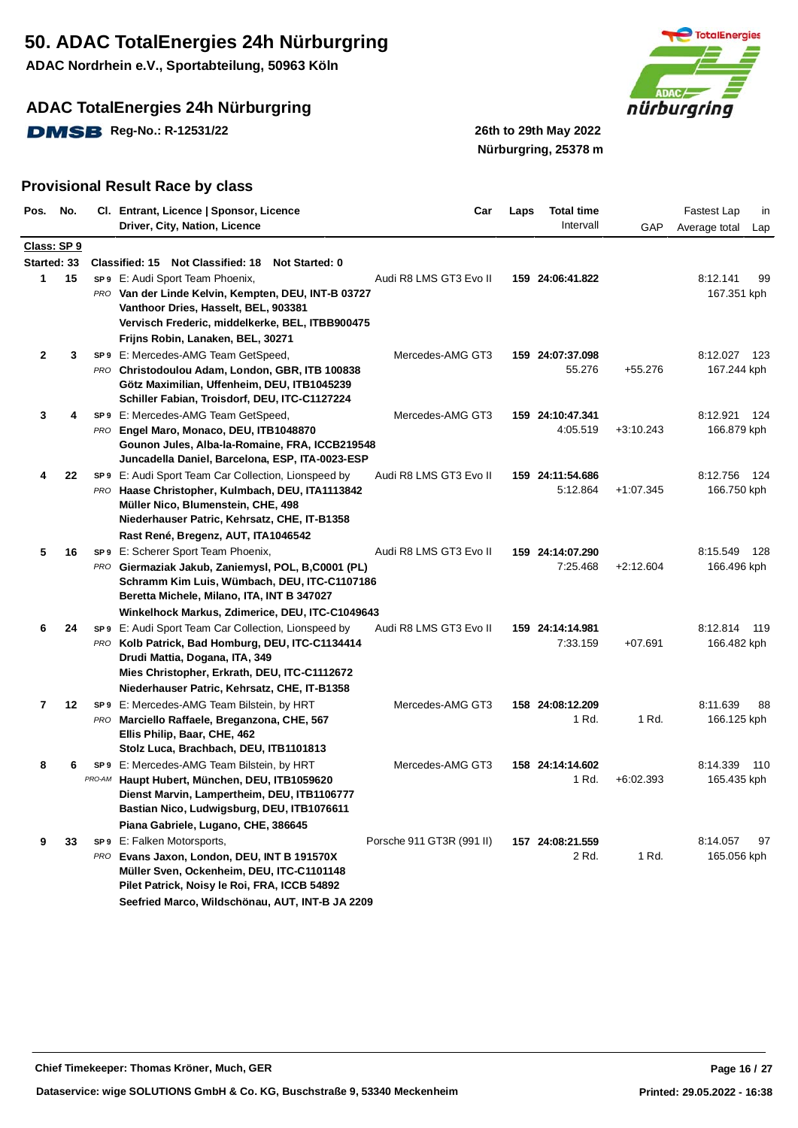**ADAC Nordrhein e.V., Sportabteilung, 50963 Köln**

## **ADAC TotalEnergies 24h Nürburgring**

**DMSB** Reg-No.: R-12531/22 26th to 29th May 2022



**Nürburgring, 25378 m**

| Pos.        | No. |        | Cl. Entrant, Licence   Sponsor, Licence                                                           | Car                       | Laps | <b>Total time</b> |             | Fastest Lap<br>in    |
|-------------|-----|--------|---------------------------------------------------------------------------------------------------|---------------------------|------|-------------------|-------------|----------------------|
|             |     |        | Driver, City, Nation, Licence                                                                     |                           |      | Intervall         | GAP         | Average total<br>Lap |
| Class: SP 9 |     |        |                                                                                                   |                           |      |                   |             |                      |
| Started: 33 |     |        | Classified: 15 Not Classified: 18<br>Not Started: 0                                               |                           |      |                   |             |                      |
| 1           | 15  |        | SP9 E: Audi Sport Team Phoenix,                                                                   | Audi R8 LMS GT3 Evo II    |      | 159 24:06:41.822  |             | 99<br>8:12.141       |
|             |     |        | PRO Van der Linde Kelvin, Kempten, DEU, INT-B 03727                                               |                           |      |                   |             | 167.351 kph          |
|             |     |        | Vanthoor Dries, Hasselt, BEL, 903381                                                              |                           |      |                   |             |                      |
|             |     |        | Vervisch Frederic, middelkerke, BEL, ITBB900475                                                   |                           |      |                   |             |                      |
|             |     |        | Frijns Robin, Lanaken, BEL, 30271                                                                 |                           |      |                   |             |                      |
| 2           | 3   |        | SP9 E: Mercedes-AMG Team GetSpeed,                                                                | Mercedes-AMG GT3          |      | 159 24:07:37.098  |             | 8:12.027<br>123      |
|             |     |        | PRO Christodoulou Adam, London, GBR, ITB 100838                                                   |                           |      | 55.276            | +55.276     | 167.244 kph          |
|             |     |        | Götz Maximilian, Uffenheim, DEU, ITB1045239                                                       |                           |      |                   |             |                      |
|             |     |        | Schiller Fabian, Troisdorf, DEU, ITC-C1127224                                                     |                           |      |                   |             |                      |
| 3           |     |        | SP9 E: Mercedes-AMG Team GetSpeed,                                                                | Mercedes-AMG GT3          |      | 159 24:10:47.341  |             | 8:12.921<br>124      |
|             |     |        | PRO Engel Maro, Monaco, DEU, ITB1048870                                                           |                           |      | 4:05.519          | $+3:10.243$ | 166.879 kph          |
|             |     |        | Gounon Jules, Alba-la-Romaine, FRA, ICCB219548<br>Juncadella Daniel, Barcelona, ESP, ITA-0023-ESP |                           |      |                   |             |                      |
| 4           | 22  |        | SP9 E: Audi Sport Team Car Collection, Lionspeed by                                               | Audi R8 LMS GT3 Evo II    |      | 159 24:11:54.686  |             | 8:12.756<br>-124     |
|             |     |        | PRO Haase Christopher, Kulmbach, DEU, ITA1113842                                                  |                           |      | 5:12.864          | $+1.07.345$ | 166.750 kph          |
|             |     |        | Müller Nico, Blumenstein, CHE, 498                                                                |                           |      |                   |             |                      |
|             |     |        | Niederhauser Patric, Kehrsatz, CHE, IT-B1358                                                      |                           |      |                   |             |                      |
|             |     |        | Rast René, Bregenz, AUT, ITA1046542                                                               |                           |      |                   |             |                      |
| 5           | 16  |        | SP9 E: Scherer Sport Team Phoenix,                                                                | Audi R8 LMS GT3 Evo II    |      | 159 24:14:07.290  |             | 8:15.549<br>128      |
|             |     |        | PRO Giermaziak Jakub, Zaniemysl, POL, B,C0001 (PL)                                                |                           |      | 7:25.468          | $+2:12.604$ | 166.496 kph          |
|             |     |        | Schramm Kim Luis, Wümbach, DEU, ITC-C1107186                                                      |                           |      |                   |             |                      |
|             |     |        | Beretta Michele, Milano, ITA, INT B 347027                                                        |                           |      |                   |             |                      |
|             |     |        | Winkelhock Markus, Zdimerice, DEU, ITC-C1049643                                                   |                           |      |                   |             |                      |
| 6           | 24  |        | SP9 E: Audi Sport Team Car Collection, Lionspeed by                                               | Audi R8 LMS GT3 Evo II    |      | 159 24:14:14.981  |             | 8:12.814<br>- 119    |
|             |     |        | PRO Kolb Patrick, Bad Homburg, DEU, ITC-C1134414                                                  |                           |      | 7:33.159          | $+07.691$   | 166.482 kph          |
|             |     |        | Drudi Mattia, Dogana, ITA, 349                                                                    |                           |      |                   |             |                      |
|             |     |        | Mies Christopher, Erkrath, DEU, ITC-C1112672                                                      |                           |      |                   |             |                      |
|             |     |        | Niederhauser Patric, Kehrsatz, CHE, IT-B1358                                                      |                           |      |                   |             |                      |
| 7           | 12  |        | SP9 E: Mercedes-AMG Team Bilstein, by HRT                                                         | Mercedes-AMG GT3          |      | 158 24:08:12.209  |             | 8:11.639<br>88       |
|             |     |        | PRO Marciello Raffaele, Breganzona, CHE, 567                                                      |                           |      | 1 Rd.             | 1 Rd.       | 166.125 kph          |
|             |     |        | Ellis Philip, Baar, CHE, 462                                                                      |                           |      |                   |             |                      |
|             |     |        | Stolz Luca, Brachbach, DEU, ITB1101813                                                            |                           |      |                   |             |                      |
| 8           | 6   |        | SP9 E: Mercedes-AMG Team Bilstein, by HRT                                                         | Mercedes-AMG GT3          |      | 158 24:14:14.602  |             | 8:14.339<br>110      |
|             |     | PRO-AM | Haupt Hubert, München, DEU, ITB1059620                                                            |                           |      | 1 Rd.             | $+6:02.393$ | 165.435 kph          |
|             |     |        | Dienst Marvin, Lampertheim, DEU, ITB1106777                                                       |                           |      |                   |             |                      |
|             |     |        | Bastian Nico, Ludwigsburg, DEU, ITB1076611                                                        |                           |      |                   |             |                      |
|             |     |        | Piana Gabriele, Lugano, CHE, 386645                                                               |                           |      |                   |             |                      |
| 9           | 33  |        | SP9 E: Falken Motorsports,                                                                        | Porsche 911 GT3R (991 II) |      | 157 24:08:21.559  |             | 8:14.057<br>97       |
|             |     |        | PRO Evans Jaxon, London, DEU, INT B 191570X                                                       |                           |      | 2 Rd.             | 1 Rd.       | 165.056 kph          |
|             |     |        | Müller Sven, Ockenheim, DEU, ITC-C1101148<br>Pilet Patrick, Noisy le Roi, FRA, ICCB 54892         |                           |      |                   |             |                      |
|             |     |        | Seefried Marco, Wildschönau, AUT, INT-B JA 2209                                                   |                           |      |                   |             |                      |
|             |     |        |                                                                                                   |                           |      |                   |             |                      |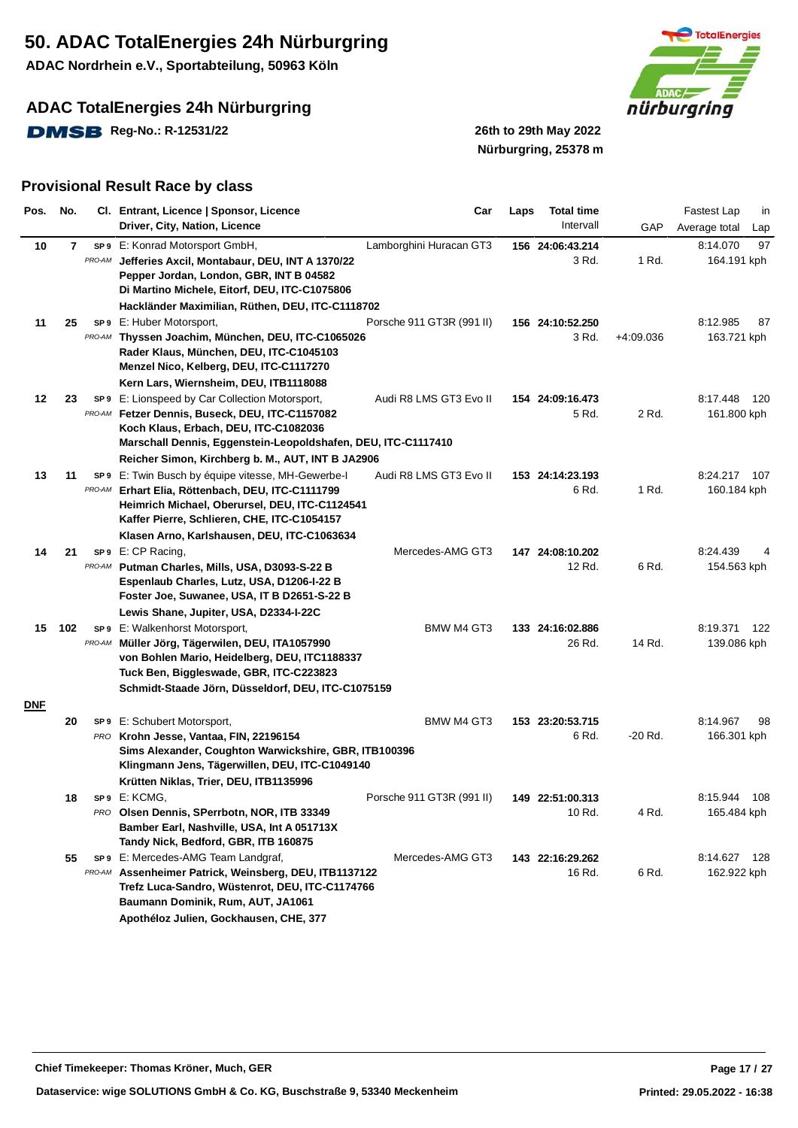**ADAC Nordrhein e.V., Sportabteilung, 50963 Köln**

### **ADAC TotalEnergies 24h Nürburgring**

**DMSB** Reg-No.: R-12531/22 26th to 29th May 2022



# **Nürburgring, 25378 m**

| Pos.       | No.          |                 | Cl. Entrant, Licence   Sponsor, Licence                                                                                                                                                                                                                      | Car                       | Laps | <b>Total time</b>          |             | <b>Fastest Lap</b><br>in         |
|------------|--------------|-----------------|--------------------------------------------------------------------------------------------------------------------------------------------------------------------------------------------------------------------------------------------------------------|---------------------------|------|----------------------------|-------------|----------------------------------|
|            |              |                 | Driver, City, Nation, Licence                                                                                                                                                                                                                                |                           |      | Intervall                  | GAP         | Average total<br>Lap             |
| 10         | $\mathbf{7}$ | SP 9<br>PRO-AM  | E: Konrad Motorsport GmbH,<br>Jefferies Axcil, Montabaur, DEU, INT A 1370/22<br>Pepper Jordan, London, GBR, INT B 04582<br>Di Martino Michele, Eitorf, DEU, ITC-C1075806<br>Hackländer Maximilian, Rüthen, DEU, ITC-C1118702                                 | Lamborghini Huracan GT3   |      | 156 24:06:43.214<br>3 Rd.  | 1 Rd.       | 97<br>8:14.070<br>164.191 kph    |
| 11         | 25           | PRO-AM          | SP9 E: Huber Motorsport,<br>Thyssen Joachim, München, DEU, ITC-C1065026<br>Rader Klaus, München, DEU, ITC-C1045103<br>Menzel Nico, Kelberg, DEU, ITC-C1117270<br>Kern Lars, Wiernsheim, DEU, ITB1118088                                                      | Porsche 911 GT3R (991 II) |      | 156 24:10:52.250<br>3 Rd.  | $+4:09.036$ | 8:12.985<br>87<br>163.721 kph    |
| 12         | 23           | SP <sub>9</sub> | E: Lionspeed by Car Collection Motorsport,<br>PRO-AM Fetzer Dennis, Buseck, DEU, ITC-C1157082<br>Koch Klaus, Erbach, DEU, ITC-C1082036<br>Marschall Dennis, Eggenstein-Leopoldshafen, DEU, ITC-C1117410<br>Reicher Simon, Kirchberg b. M., AUT, INT B JA2906 | Audi R8 LMS GT3 Evo II    |      | 154 24:09:16.473<br>5 Rd.  | 2 Rd.       | 8:17.448<br>- 120<br>161.800 kph |
| 13         | 11           | SP 9<br>PRO-AM  | E: Twin Busch by équipe vitesse, MH-Gewerbe-I<br>Erhart Elia, Röttenbach, DEU, ITC-C1111799<br>Heimrich Michael, Oberursel, DEU, ITC-C1124541<br>Kaffer Pierre, Schlieren, CHE, ITC-C1054157<br>Klasen Arno, Karlshausen, DEU, ITC-C1063634                  | Audi R8 LMS GT3 Evo II    |      | 153 24:14:23.193<br>6 Rd.  | 1 Rd.       | 8:24.217<br>- 107<br>160.184 kph |
| 14         | 21           | SP <sub>9</sub> | E: CP Racing,<br>PRO-AM Putman Charles, Mills, USA, D3093-S-22 B<br>Espenlaub Charles, Lutz, USA, D1206-I-22 B<br>Foster Joe, Suwanee, USA, IT B D2651-S-22 B<br>Lewis Shane, Jupiter, USA, D2334-I-22C                                                      | Mercedes-AMG GT3          |      | 147 24:08:10.202<br>12 Rd. | 6 Rd.       | 8:24.439<br>154.563 kph          |
| 15         | 102          | PRO-AM          | <b>SP9</b> E: Walkenhorst Motorsport,<br>Müller Jörg, Tägerwilen, DEU, ITA1057990<br>von Bohlen Mario, Heidelberg, DEU, ITC1188337<br>Tuck Ben, Biggleswade, GBR, ITC-C223823<br>Schmidt-Staade Jörn, Düsseldorf, DEU, ITC-C1075159                          | <b>BMW M4 GT3</b>         |      | 133 24:16:02.886<br>26 Rd. | 14 Rd.      | 8:19.371<br>122<br>139.086 kph   |
| <u>DNE</u> |              |                 |                                                                                                                                                                                                                                                              |                           |      |                            |             |                                  |
|            | 20           |                 | SP9 E: Schubert Motorsport,<br>PRO Krohn Jesse, Vantaa, FIN, 22196154<br>Sims Alexander, Coughton Warwickshire, GBR, ITB100396<br>Klingmann Jens, Tägerwillen, DEU, ITC-C1049140<br>Krütten Niklas, Trier, DEU, ITB1135996                                   | BMW M4 GT3                |      | 153 23:20:53.715<br>6 Rd.  | $-20$ Rd.   | 8:14.967<br>98<br>166.301 kph    |
|            | 18           |                 | SP9 E: KCMG,<br>PRO Olsen Dennis, SPerrbotn, NOR, ITB 33349<br>Bamber Earl, Nashville, USA, Int A 051713X<br>Tandy Nick, Bedford, GBR, ITB 160875                                                                                                            | Porsche 911 GT3R (991 II) |      | 149 22:51:00.313<br>10 Rd. | 4 Rd.       | 8:15.944<br>108<br>165.484 kph   |
|            | 55           |                 | <b>SP9</b> E: Mercedes-AMG Team Landgraf,<br>PRO-AM Assenheimer Patrick, Weinsberg, DEU, ITB1137122<br>Trefz Luca-Sandro, Wüstenrot, DEU, ITC-C1174766<br>Baumann Dominik, Rum, AUT, JA1061<br>Apothéloz Julien, Gockhausen, CHE, 377                        | Mercedes-AMG GT3          |      | 143 22:16:29.262<br>16 Rd. | 6 Rd.       | 8:14.627<br>128<br>162.922 kph   |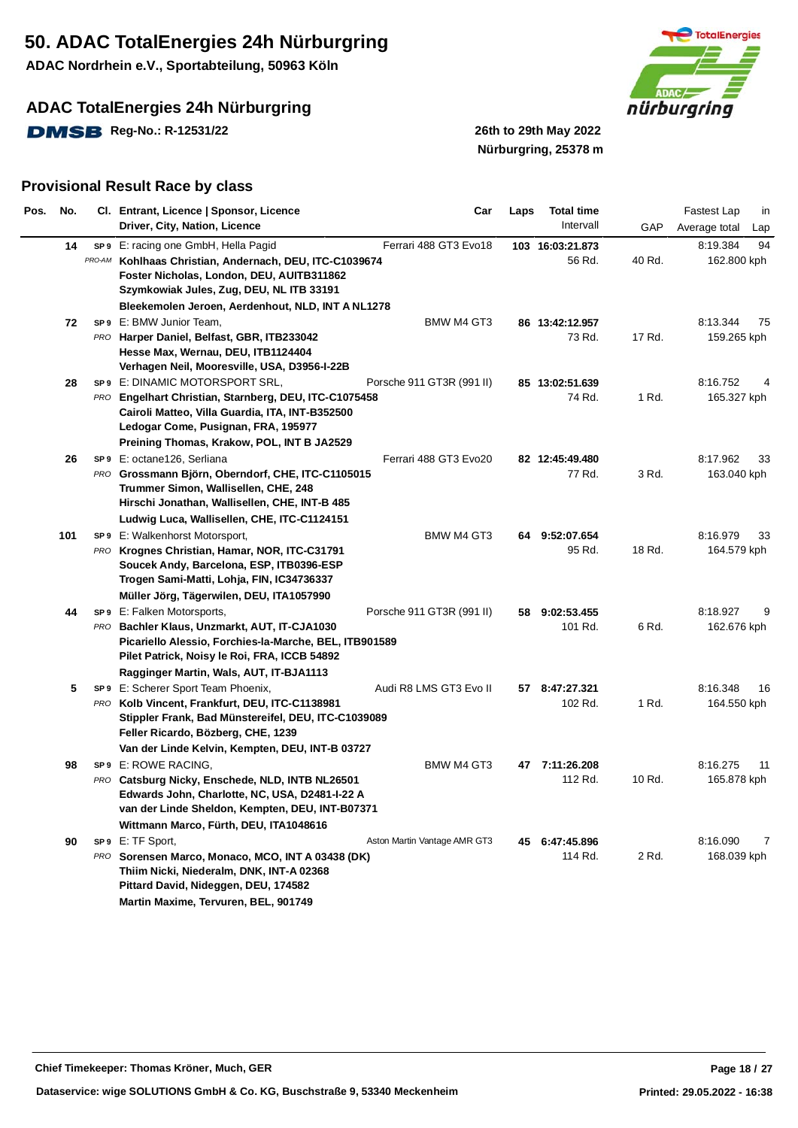**ADAC Nordrhein e.V., Sportabteilung, 50963 Köln**

### **ADAC TotalEnergies 24h Nürburgring**

**DMSB** Reg-No.: R-12531/22 26th to 29th May 2022



# **Nürburgring, 25378 m**

| Pos. | No. | Cl. Entrant, Licence   Sponsor, Licence<br>Driver, City, Nation, Licence                                                                                                                          | Car                          | Laps | <b>Total time</b><br>Intervall | GAP    | Fastest Lap<br>in<br>Average total<br>Lap |
|------|-----|---------------------------------------------------------------------------------------------------------------------------------------------------------------------------------------------------|------------------------------|------|--------------------------------|--------|-------------------------------------------|
|      | 14  | SP9 E: racing one GmbH, Hella Pagid<br>PRO-AM Kohlhaas Christian, Andernach, DEU, ITC-C1039674<br>Foster Nicholas, London, DEU, AUITB311862<br>Szymkowiak Jules, Zug, DEU, NL ITB 33191           | Ferrari 488 GT3 Evo18        |      | 103 16:03:21.873<br>56 Rd.     | 40 Rd. | 8:19.384<br>94<br>162.800 kph             |
|      |     | Bleekemolen Jeroen, Aerdenhout, NLD, INT A NL1278                                                                                                                                                 |                              |      |                                |        |                                           |
|      | 72  | SP9 E: BMW Junior Team,                                                                                                                                                                           | BMW M4 GT3                   |      | 86 13:42:12.957                |        | 8:13.344<br>75                            |
|      |     | PRO Harper Daniel, Belfast, GBR, ITB233042                                                                                                                                                        |                              |      | 73 Rd.                         | 17 Rd. | 159.265 kph                               |
|      |     | Hesse Max, Wernau, DEU, ITB1124404<br>Verhagen Neil, Mooresville, USA, D3956-I-22B                                                                                                                |                              |      |                                |        |                                           |
|      | 28  | SP9 E: DINAMIC MOTORSPORT SRL,                                                                                                                                                                    | Porsche 911 GT3R (991 II)    |      | 85 13:02:51.639                |        | 8:16.752                                  |
|      |     | PRO Engelhart Christian, Starnberg, DEU, ITC-C1075458<br>Cairoli Matteo, Villa Guardia, ITA, INT-B352500<br>Ledogar Come, Pusignan, FRA, 195977<br>Preining Thomas, Krakow, POL, INT B JA2529     |                              |      | 74 Rd.                         | 1 Rd.  | 165.327 kph                               |
|      | 26  | sp 9 E: octane126, Serliana                                                                                                                                                                       | Ferrari 488 GT3 Evo20        |      | 82 12:45:49.480                |        | 8:17.962<br>33                            |
|      |     | PRO Grossmann Björn, Oberndorf, CHE, ITC-C1105015<br>Trummer Simon, Wallisellen, CHE, 248<br>Hirschi Jonathan, Wallisellen, CHE, INT-B 485                                                        |                              |      | 77 Rd.                         | 3 Rd.  | 163.040 kph                               |
|      |     | Ludwig Luca, Wallisellen, CHE, ITC-C1124151                                                                                                                                                       |                              |      |                                |        |                                           |
|      | 101 | SP9 E: Walkenhorst Motorsport,                                                                                                                                                                    | <b>BMW M4 GT3</b>            |      | 64 9:52:07.654                 |        | 8:16.979<br>33                            |
|      |     | PRO Krognes Christian, Hamar, NOR, ITC-C31791<br>Soucek Andy, Barcelona, ESP, ITB0396-ESP<br>Trogen Sami-Matti, Lohja, FIN, IC34736337                                                            |                              |      | 95 Rd.                         | 18 Rd. | 164.579 kph                               |
|      |     | Müller Jörg, Tägerwilen, DEU, ITA1057990                                                                                                                                                          |                              |      |                                |        |                                           |
|      | 44  | <b>SP9</b> E: Falken Motorsports,                                                                                                                                                                 | Porsche 911 GT3R (991 II)    | 58   | 9:02:53.455                    |        | 8:18.927<br>9                             |
|      |     | PRO Bachler Klaus, Unzmarkt, AUT, IT-CJA1030<br>Picariello Alessio, Forchies-la-Marche, BEL, ITB901589<br>Pilet Patrick, Noisy le Roi, FRA, ICCB 54892<br>Ragginger Martin, Wals, AUT, IT-BJA1113 |                              |      | 101 Rd.                        | 6 Rd.  | 162.676 kph                               |
|      | 5   | SP9 E: Scherer Sport Team Phoenix,                                                                                                                                                                | Audi R8 LMS GT3 Evo II       |      | 57 8:47:27.321                 |        | 8:16.348<br>16                            |
|      |     | PRO Kolb Vincent, Frankfurt, DEU, ITC-C1138981<br>Stippler Frank, Bad Münstereifel, DEU, ITC-C1039089<br>Feller Ricardo, Bözberg, CHE, 1239<br>Van der Linde Kelvin, Kempten, DEU, INT-B 03727    |                              |      | 102 Rd.                        | 1 Rd.  | 164.550 kph                               |
|      | 98  | SP9 E: ROWE RACING,                                                                                                                                                                               | BMW M4 GT3                   |      | 47 7:11:26.208                 |        | 8:16.275<br>11                            |
|      |     | PRO Catsburg Nicky, Enschede, NLD, INTB NL26501<br>Edwards John, Charlotte, NC, USA, D2481-I-22 A<br>van der Linde Sheldon, Kempten, DEU, INT-B07371<br>Wittmann Marco, Fürth, DEU, ITA1048616    |                              |      | 112 Rd.                        | 10 Rd. | 165.878 kph                               |
|      | 90  | SP9 E: TF Sport,                                                                                                                                                                                  | Aston Martin Vantage AMR GT3 | 45   | 6:47:45.896                    |        | 8:16.090<br>7                             |
|      |     | PRO Sorensen Marco, Monaco, MCO, INT A 03438 (DK)<br>Thiim Nicki, Niederalm, DNK, INT-A 02368<br>Pittard David, Nideggen, DEU, 174582<br>Martin Maxime, Tervuren, BEL, 901749                     |                              |      | 114 Rd.                        | 2 Rd.  | 168.039 kph                               |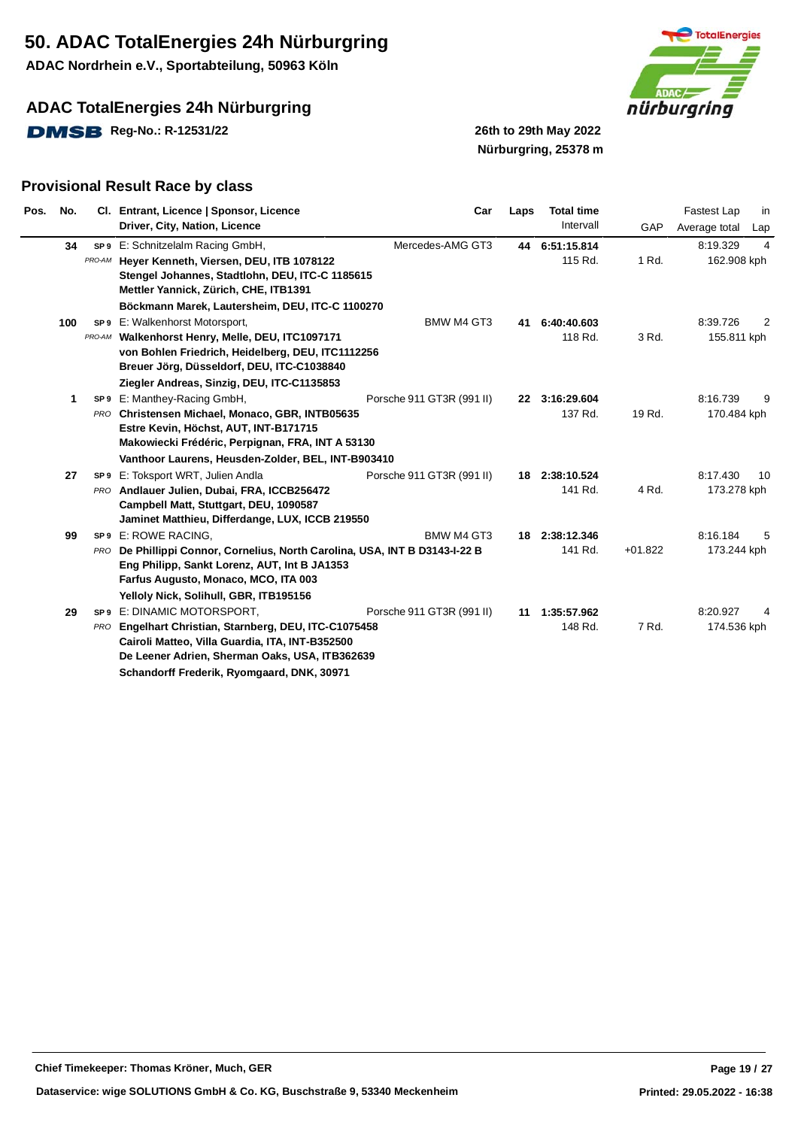**ADAC Nordrhein e.V., Sportabteilung, 50963 Köln**

## **ADAC TotalEnergies 24h Nürburgring**

**DMSB** Reg-No.: R-12531/22 26th to 29th May 2022



# **Nürburgring, 25378 m**

| Pos.<br>No. |        | Cl. Entrant, Licence   Sponsor, Licence                                                                                                                                                                       | Car                       | Laps | <b>Total time</b>         |           | Fastest Lap             | in             |
|-------------|--------|---------------------------------------------------------------------------------------------------------------------------------------------------------------------------------------------------------------|---------------------------|------|---------------------------|-----------|-------------------------|----------------|
|             |        | Driver, City, Nation, Licence                                                                                                                                                                                 |                           |      | Intervall                 | GAP       | Average total           | Lap            |
| 34          |        | SP9 E: Schnitzelalm Racing GmbH,                                                                                                                                                                              | Mercedes-AMG GT3          | 44   | 6:51:15.814               |           | 8:19.329                | $\overline{4}$ |
|             | PRO-AM | Hever Kenneth, Viersen, DEU, ITB 1078122<br>Stengel Johannes, Stadtlohn, DEU, ITC-C 1185615<br>Mettler Yannick, Zürich, CHE, ITB1391                                                                          |                           |      | 115 Rd.                   | 1 Rd.     | 162.908 kph             |                |
|             |        | Böckmann Marek, Lautersheim, DEU, ITC-C 1100270                                                                                                                                                               |                           |      |                           |           |                         |                |
| 100         |        | SP9 E: Walkenhorst Motorsport,                                                                                                                                                                                | <b>BMW M4 GT3</b>         | 41   | 6:40:40.603               |           | 8:39.726                | 2              |
|             | PRO-AM | Walkenhorst Henry, Melle, DEU, ITC1097171<br>von Bohlen Friedrich, Heidelberg, DEU, ITC1112256<br>Breuer Jörg, Düsseldorf, DEU, ITC-C1038840                                                                  |                           |      | 118 Rd.                   | 3 Rd.     | 155.811 kph             |                |
|             |        | Ziegler Andreas, Sinzig, DEU, ITC-C1135853                                                                                                                                                                    |                           |      |                           |           |                         |                |
|             | 1      | SP9 E: Manthey-Racing GmbH,<br>PRO Christensen Michael, Monaco, GBR, INTB05635<br>Estre Kevin, Höchst, AUT, INT-B171715<br>Makowiecki Frédéric, Perpignan, FRA, INT A 53130                                   | Porsche 911 GT3R (991 II) |      | 22 3:16:29.604<br>137 Rd. | 19 Rd.    | 8:16.739<br>170.484 kph | 9              |
|             |        | Vanthoor Laurens, Heusden-Zolder, BEL, INT-B903410                                                                                                                                                            |                           |      |                           |           |                         |                |
| 27          |        | SP9 E: Toksport WRT, Julien Andla                                                                                                                                                                             | Porsche 911 GT3R (991 II) |      | 18 2:38:10.524            |           | 8:17.430                | 10             |
|             |        | PRO Andlauer Julien, Dubai, FRA, ICCB256472<br>Campbell Matt, Stuttgart, DEU, 1090587<br>Jaminet Matthieu, Differdange, LUX, ICCB 219550                                                                      |                           |      | 141 Rd.                   | 4 Rd.     | 173.278 kph             |                |
| 99          |        | SP9 E: ROWE RACING.                                                                                                                                                                                           | BMW M4 GT3                |      | 18 2:38:12.346            |           | 8:16.184                | 5              |
|             |        | PRO De Phillippi Connor, Cornelius, North Carolina, USA, INT B D3143-I-22 B<br>Eng Philipp, Sankt Lorenz, AUT, Int B JA1353<br>Farfus Augusto, Monaco, MCO, ITA 003<br>Yelloly Nick, Solihull, GBR, ITB195156 |                           |      | 141 Rd.                   | $+01.822$ | 173.244 kph             |                |
| 29          |        | SP9 E: DINAMIC MOTORSPORT,                                                                                                                                                                                    | Porsche 911 GT3R (991 II) | 11   | 1:35:57.962               |           | 8:20.927                |                |
|             | PRO    | Engelhart Christian, Starnberg, DEU, ITC-C1075458<br>Cairoli Matteo, Villa Guardia, ITA, INT-B352500<br>De Leener Adrien, Sherman Oaks, USA, ITB362639<br>Schandorff Frederik, Ryomgaard, DNK, 30971          |                           |      | 148 Rd.                   | 7 Rd.     | 174.536 kph             |                |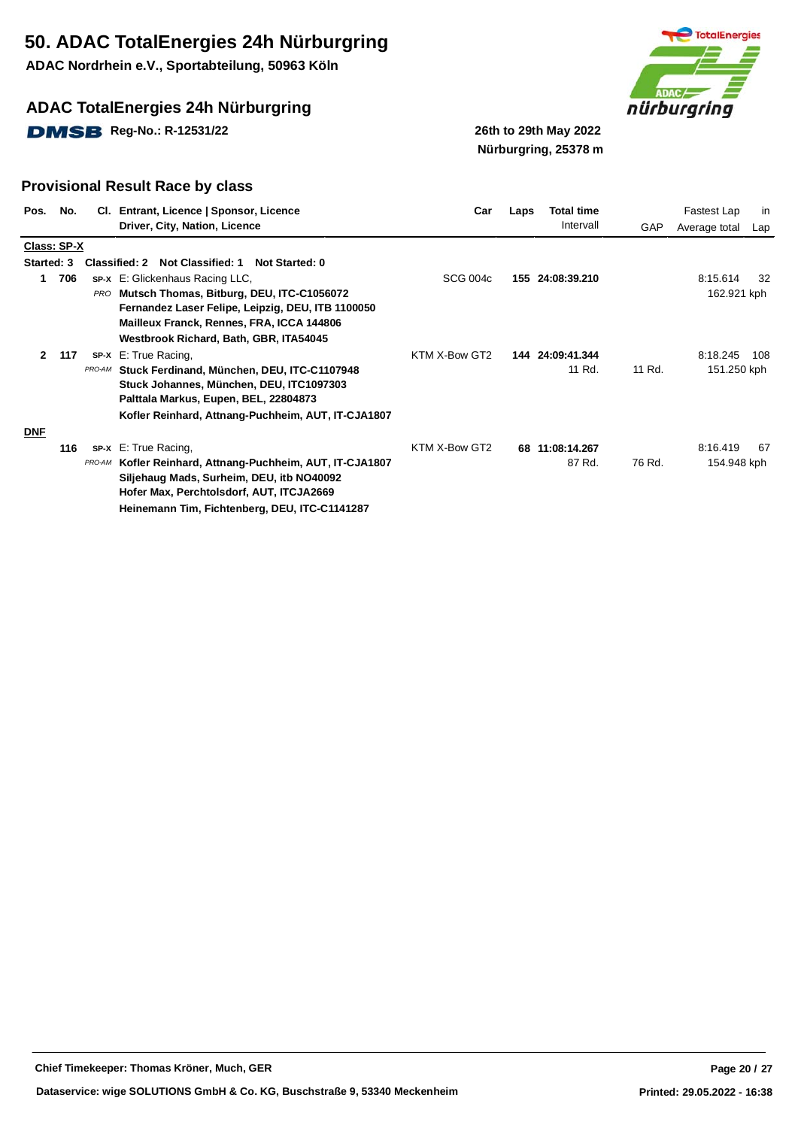**ADAC Nordrhein e.V., Sportabteilung, 50963 Köln**

## **ADAC TotalEnergies 24h Nürburgring**

**DMSB** Reg-No.: R-12531/22 26th to 29th May 2022



# **Nürburgring, 25378 m**

| Pos.         | No. |            | CI. Entrant, Licence   Sponsor, Licence                                                         | Car             | Laps | <b>Total time</b><br>Intervall |        | Fastest Lap   | in  |
|--------------|-----|------------|-------------------------------------------------------------------------------------------------|-----------------|------|--------------------------------|--------|---------------|-----|
|              |     |            | Driver, City, Nation, Licence                                                                   |                 |      |                                | GAP    | Average total | Lap |
| Class: SP-X  |     |            |                                                                                                 |                 |      |                                |        |               |     |
| Started: 3   |     |            | Not Classified: 1<br>Classified: 2<br>Not Started: 0                                            |                 |      |                                |        |               |     |
| 1.           | 706 |            | SP-X E: Glickenhaus Racing LLC,                                                                 | <b>SCG 004c</b> |      | 155 24:08:39.210               |        | 8:15.614      | 32  |
|              |     | <b>PRO</b> | Mutsch Thomas, Bitburg, DEU, ITC-C1056072                                                       |                 |      |                                |        | 162.921 kph   |     |
|              |     |            | Fernandez Laser Felipe, Leipzig, DEU, ITB 1100050                                               |                 |      |                                |        |               |     |
|              |     |            | Mailleux Franck, Rennes, FRA, ICCA 144806                                                       |                 |      |                                |        |               |     |
|              |     |            | Westbrook Richard, Bath, GBR, ITA54045                                                          |                 |      |                                |        |               |     |
| $\mathbf{2}$ | 117 |            | SP-X E: True Racing,                                                                            | KTM X-Bow GT2   |      | 144 24:09:41.344               |        | 8:18.245      | 108 |
|              |     | PRO-AM     | Stuck Ferdinand, München, DEU, ITC-C1107948                                                     |                 |      | 11 Rd.                         | 11 Rd. | 151.250 kph   |     |
|              |     |            | Stuck Johannes, München, DEU, ITC1097303                                                        |                 |      |                                |        |               |     |
|              |     |            | Palttala Markus, Eupen, BEL, 22804873                                                           |                 |      |                                |        |               |     |
|              |     |            | Kofler Reinhard, Attnang-Puchheim, AUT, IT-CJA1807                                              |                 |      |                                |        |               |     |
| <b>DNF</b>   |     |            |                                                                                                 |                 |      |                                |        |               |     |
|              | 116 |            | <b>sp-x</b> E: True Racing,                                                                     | KTM X-Bow GT2   |      | 68 11:08:14.267                |        | 8:16.419      | -67 |
|              |     | PRO-AM     |                                                                                                 |                 |      | 87 Rd.                         | 76 Rd. | 154.948 kph   |     |
|              |     |            | Kofler Reinhard, Attnang-Puchheim, AUT, IT-CJA1807<br>Siljehaug Mads, Surheim, DEU, itb NO40092 |                 |      |                                |        |               |     |
|              |     |            |                                                                                                 |                 |      |                                |        |               |     |
|              |     |            | Hofer Max, Perchtolsdorf, AUT, ITCJA2669                                                        |                 |      |                                |        |               |     |
|              |     |            | Heinemann Tim, Fichtenberg, DEU, ITC-C1141287                                                   |                 |      |                                |        |               |     |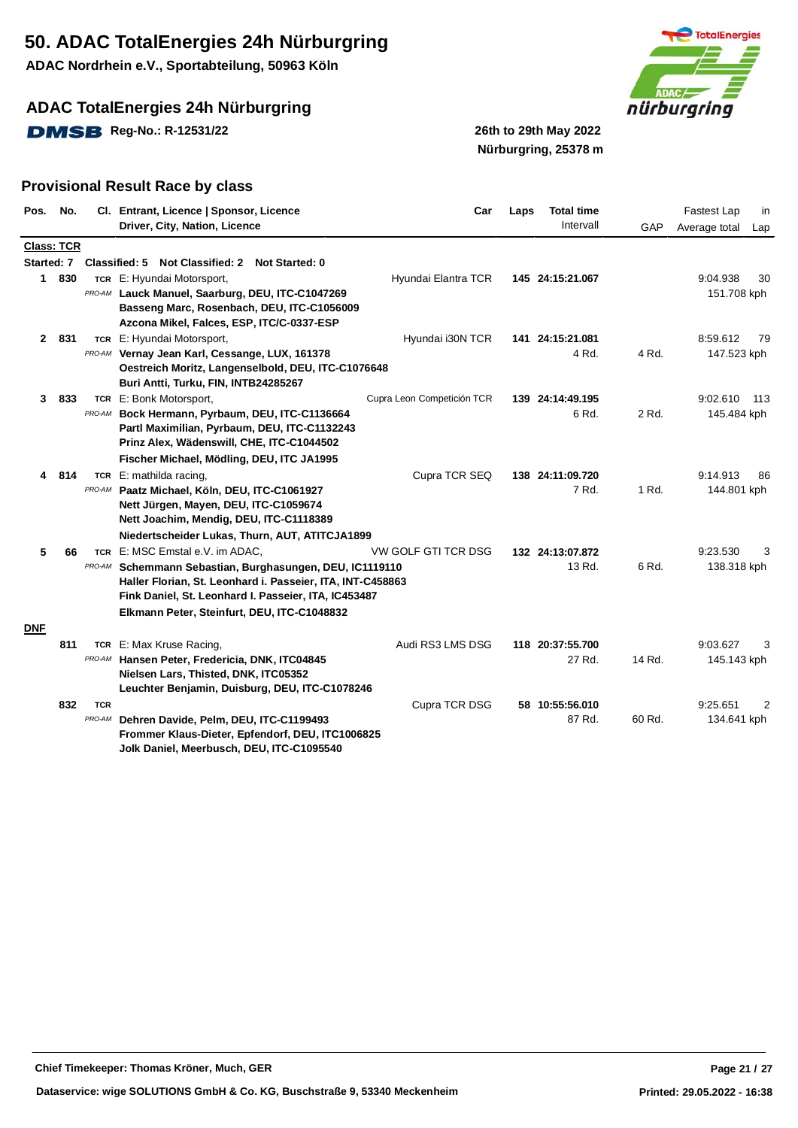**ADAC Nordrhein e.V., Sportabteilung, 50963 Köln**

## **ADAC TotalEnergies 24h Nürburgring**

**DMSB** Reg-No.: R-12531/22 26th to 29th May 2022



**Nürburgring, 25378 m**

| Pos.              | No.   |                      | Cl. Entrant, Licence   Sponsor, Licence<br>Driver, City, Nation, Licence                                                                                                                                                                              | Car                        | Laps | <b>Total time</b><br>Intervall | GAP    | Fastest Lap<br>in<br>Average total<br>Lap |
|-------------------|-------|----------------------|-------------------------------------------------------------------------------------------------------------------------------------------------------------------------------------------------------------------------------------------------------|----------------------------|------|--------------------------------|--------|-------------------------------------------|
| <b>Class: TCR</b> |       |                      |                                                                                                                                                                                                                                                       |                            |      |                                |        |                                           |
|                   |       |                      | Started: 7 Classified: 5 Not Classified: 2 Not Started: 0                                                                                                                                                                                             |                            |      |                                |        |                                           |
|                   | 1 830 |                      | TCR E: Hyundai Motorsport,<br>PRO-AM Lauck Manuel, Saarburg, DEU, ITC-C1047269<br>Basseng Marc, Rosenbach, DEU, ITC-C1056009<br>Azcona Mikel, Falces, ESP, ITC/C-0337-ESP                                                                             | Hyundai Elantra TCR        |      | 145 24:15:21.067               |        | 9:04.938<br>30<br>151.708 kph             |
|                   | 2 831 |                      | TCR E: Hyundai Motorsport,                                                                                                                                                                                                                            | Hyundai i30N TCR           |      | 141 24:15:21.081               |        | 8:59.612<br>79                            |
|                   |       | PRO-AM               | Vernay Jean Karl, Cessange, LUX, 161378<br>Oestreich Moritz, Langenselbold, DEU, ITC-C1076648<br>Buri Antti, Turku, FIN, INTB24285267                                                                                                                 |                            |      | 4 Rd.                          | 4 Rd.  | 147.523 kph                               |
| 3                 | 833   |                      | TCR E: Bonk Motorsport,                                                                                                                                                                                                                               | Cupra Leon Competición TCR |      | 139 24:14:49.195               |        | 9:02.610<br>- 113                         |
|                   |       | PRO-AM               | Bock Hermann, Pyrbaum, DEU, ITC-C1136664<br>Partl Maximilian, Pyrbaum, DEU, ITC-C1132243<br>Prinz Alex, Wädenswill, CHE, ITC-C1044502                                                                                                                 |                            |      | 6 Rd.                          | 2 Rd.  | 145.484 kph                               |
|                   |       |                      | Fischer Michael, Mödling, DEU, ITC JA1995                                                                                                                                                                                                             |                            |      |                                |        |                                           |
| 4                 | 814   | PRO-AM               | TCR E: mathilda racing,<br>Paatz Michael, Köln, DEU, ITC-C1061927<br>Nett Jürgen, Mayen, DEU, ITC-C1059674<br>Nett Joachim, Mendig, DEU, ITC-C1118389                                                                                                 | Cupra TCR SEQ              |      | 138 24:11:09.720<br>7 Rd.      | 1 Rd.  | 9:14.913<br>86<br>144.801 kph             |
|                   |       |                      | Niedertscheider Lukas, Thurn, AUT, ATITCJA1899                                                                                                                                                                                                        |                            |      |                                |        |                                           |
| 5                 | 66    | <b>TCR</b><br>PRO-AM | E: MSC Emstal e.V. im ADAC,<br>Schemmann Sebastian, Burghasungen, DEU, IC1119110<br>Haller Florian, St. Leonhard i. Passeier, ITA, INT-C458863<br>Fink Daniel, St. Leonhard I. Passeier, ITA, IC453487<br>Elkmann Peter, Steinfurt, DEU, ITC-C1048832 | VW GOLF GTI TCR DSG        |      | 132 24:13:07.872<br>13 Rd.     | 6 Rd.  | 9:23.530<br>3<br>138.318 kph              |
| <b>DNF</b>        |       |                      |                                                                                                                                                                                                                                                       |                            |      |                                |        |                                           |
|                   | 811   | PRO-AM               | TCR E: Max Kruse Racing,<br>Hansen Peter, Fredericia, DNK, ITC04845<br>Nielsen Lars, Thisted, DNK, ITC05352<br>Leuchter Benjamin, Duisburg, DEU, ITC-C1078246                                                                                         | Audi RS3 LMS DSG           |      | 118 20:37:55.700<br>27 Rd.     | 14 Rd. | 9:03.627<br>3<br>145.143 kph              |
|                   | 832   | <b>TCR</b>           |                                                                                                                                                                                                                                                       | Cupra TCR DSG              |      | 58 10:55:56.010                |        | 9:25.651<br>2                             |
|                   |       | PRO-AM               | Dehren Davide, Pelm, DEU, ITC-C1199493<br>Frommer Klaus-Dieter, Epfendorf, DEU, ITC1006825<br>Jolk Daniel, Meerbusch, DEU, ITC-C1095540                                                                                                               |                            |      | 87 Rd.                         | 60 Rd. | 134.641 kph                               |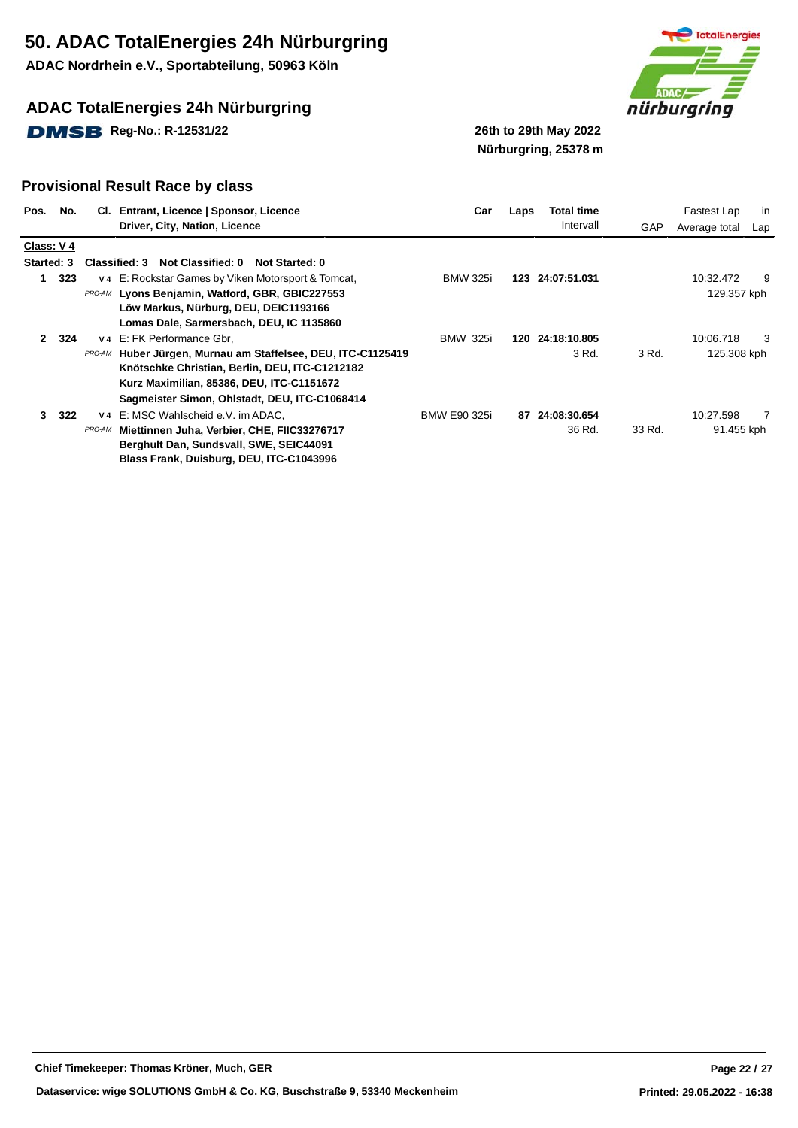**ADAC Nordrhein e.V., Sportabteilung, 50963 Köln**

## **ADAC TotalEnergies 24h Nürburgring**

**DMSB** Reg-No.: R-12531/22 26th to 29th May 2022



**Nürburgring, 25378 m**

|              | Pos. No.  |                          | CI. Entrant, Licence   Sponsor, Licence<br>Driver, City, Nation, Licence                                                                                                                                                           | Car                 | Laps | Total time<br>Intervall   | GAP    | Fastest Lap<br>Average total | in<br>Lap |
|--------------|-----------|--------------------------|------------------------------------------------------------------------------------------------------------------------------------------------------------------------------------------------------------------------------------|---------------------|------|---------------------------|--------|------------------------------|-----------|
|              | Class: V4 |                          |                                                                                                                                                                                                                                    |                     |      |                           |        |                              |           |
| Started: 3   |           |                          | Classified: 3 Not Classified: 0 Not Started: 0                                                                                                                                                                                     |                     |      |                           |        |                              |           |
| 1            | 323       |                          | v 4 E: Rockstar Games by Viken Motorsport & Tomcat,<br>PRO-AM Lyons Benjamin, Watford, GBR, GBIC227553<br>Löw Markus, Nürburg, DEU, DEIC1193166<br>Lomas Dale, Sarmersbach, DEU, IC 1135860                                        | <b>BMW 325i</b>     |      | 123 24:07:51.031          |        | 10:32.472<br>129.357 kph     | 9         |
| $\mathbf{2}$ | 324       | PRO-AM                   | V4 E: FK Performance Gbr,<br>Huber Jürgen, Murnau am Staffelsee, DEU, ITC-C1125419<br>Knötschke Christian, Berlin, DEU, ITC-C1212182<br>Kurz Maximilian, 85386, DEU, ITC-C1151672<br>Sagmeister Simon, Ohlstadt, DEU, ITC-C1068414 | <b>BMW 325i</b>     |      | 120 24:18:10.805<br>3 Rd. | 3 Rd.  | 10:06.718<br>125.308 kph     | 3         |
| 3            | 322       | V <sub>4</sub><br>PRO-AM | E: MSC Wahlscheid e.V. im ADAC.<br>Miettinnen Juha, Verbier, CHE, FIIC33276717<br>Berghult Dan, Sundsvall, SWE, SEIC44091<br>Blass Frank, Duisburg, DEU, ITC-C1043996                                                              | <b>BMW E90 325i</b> | 87   | 24:08:30.654<br>36 Rd.    | 33 Rd. | 10:27.598<br>91.455 kph      | 7         |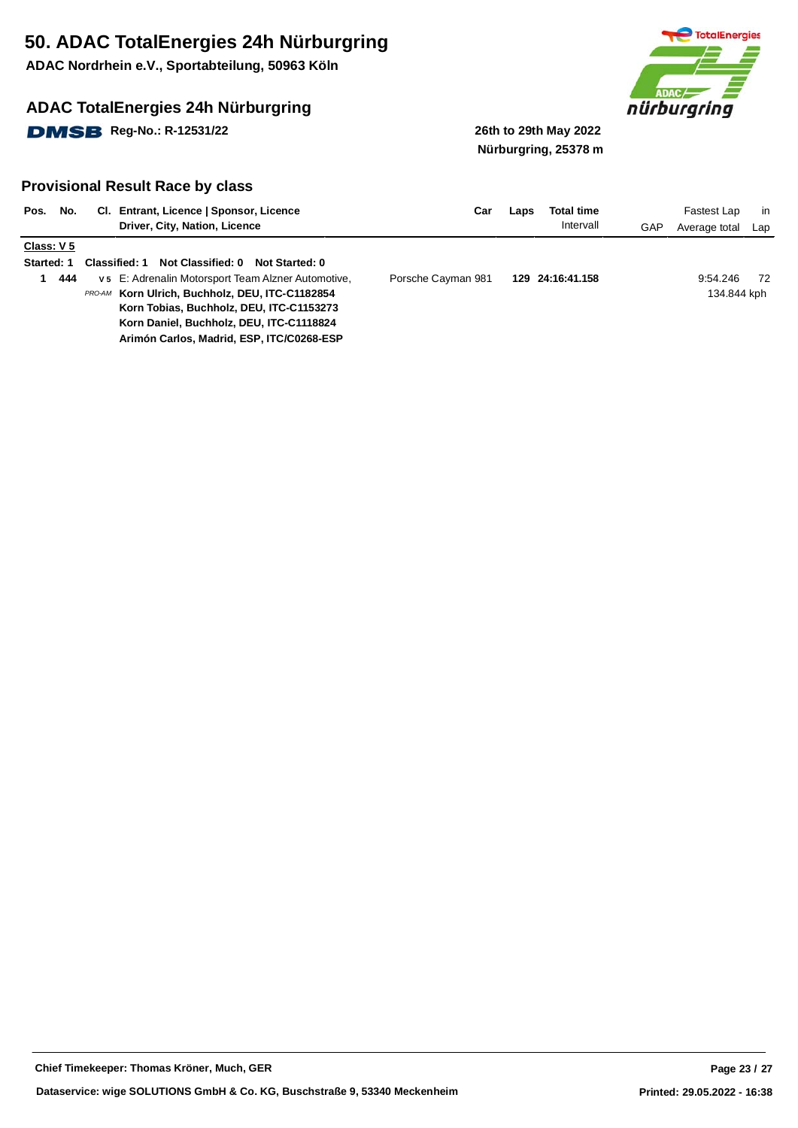**ADAC Nordrhein e.V., Sportabteilung, 50963 Köln**

## **ADAC TotalEnergies 24h Nürburgring**

**DMSB** Reg-No.: R-12531/22 26th to 29th May 2022



**Nürburgring, 25378 m**

| Pos.                  | No. | Entrant, Licence   Sponsor, Licence<br>CI.<br>Driver, City, Nation, Licence | Car                | Laps | Total time<br>Intervall | GAP | Fastest Lap<br>Average total | in<br>Lap |
|-----------------------|-----|-----------------------------------------------------------------------------|--------------------|------|-------------------------|-----|------------------------------|-----------|
| Class: V <sub>5</sub> |     |                                                                             |                    |      |                         |     |                              |           |
|                       |     |                                                                             |                    |      |                         |     |                              |           |
| <b>Started: 1</b>     |     | Not Classified: 0<br><b>Classified: 1</b><br>Not Started: 0                 |                    |      |                         |     |                              |           |
|                       | 444 | v 5 E: Adrenalin Motorsport Team Alzner Automotive,                         | Porsche Cayman 981 |      | 129 24:16:41.158        |     | 9:54.246                     | -72       |
|                       |     | PRO-AM Korn Ulrich. Buchholz. DEU. ITC-C1182854                             |                    |      |                         |     | 134.844 kph                  |           |
|                       |     | Korn Tobias, Buchholz, DEU, ITC-C1153273                                    |                    |      |                         |     |                              |           |
|                       |     | Korn Daniel, Buchholz, DEU, ITC-C1118824                                    |                    |      |                         |     |                              |           |
|                       |     | Arimón Carlos, Madrid, ESP, ITC/C0268-ESP                                   |                    |      |                         |     |                              |           |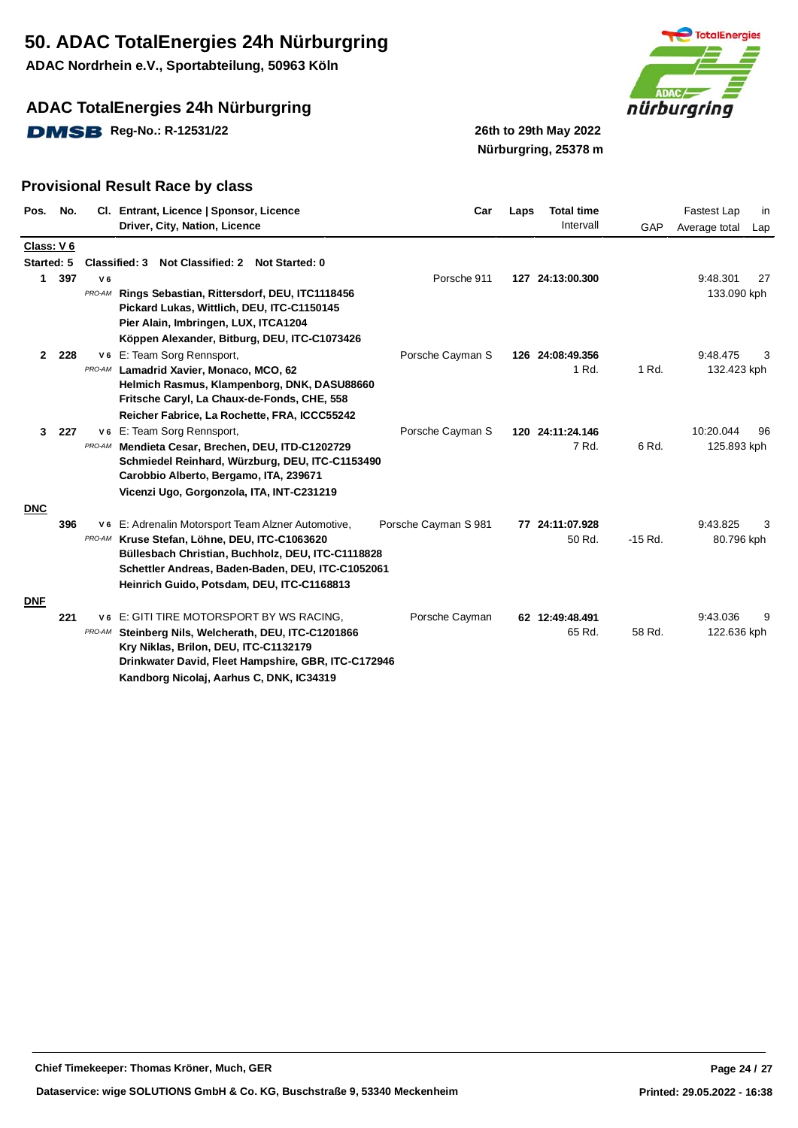**ADAC Nordrhein e.V., Sportabteilung, 50963 Köln**

## **ADAC TotalEnergies 24h Nürburgring**

**DMSB** Reg-No.: R-12531/22 26th to 29th May 2022



**Nürburgring, 25378 m**

| Pos.         | No.        |                | Cl. Entrant, Licence   Sponsor, Licence                                                      | Car                  | Laps | <b>Total time</b> |           | Fastest Lap   | in  |
|--------------|------------|----------------|----------------------------------------------------------------------------------------------|----------------------|------|-------------------|-----------|---------------|-----|
|              |            |                | Driver, City, Nation, Licence                                                                |                      |      | Intervall         | GAP       | Average total | Lap |
|              | Class: V 6 |                |                                                                                              |                      |      |                   |           |               |     |
|              | Started: 5 |                | <b>Classified: 3</b><br><b>Not Classified: 2</b><br><b>Not Started: 0</b>                    |                      |      |                   |           |               |     |
| 1            | 397        | V <sub>6</sub> |                                                                                              | Porsche 911          |      | 127 24:13:00.300  |           | 9:48.301      | 27  |
|              |            | PRO-AM         | Rings Sebastian, Rittersdorf, DEU, ITC1118456                                                |                      |      |                   |           | 133.090 kph   |     |
|              |            |                | Pickard Lukas, Wittlich, DEU, ITC-C1150145                                                   |                      |      |                   |           |               |     |
|              |            |                | Pier Alain, Imbringen, LUX, ITCA1204                                                         |                      |      |                   |           |               |     |
|              |            |                | Köppen Alexander, Bitburg, DEU, ITC-C1073426                                                 |                      |      |                   |           |               |     |
| $\mathbf{2}$ | 228        |                | V6 E: Team Sorg Rennsport,                                                                   | Porsche Cayman S     |      | 126 24:08:49.356  |           | 9:48.475      | 3   |
|              |            | PRO-AM         | Lamadrid Xavier, Monaco, MCO, 62                                                             |                      |      | 1 Rd.             | 1 Rd.     | 132.423 kph   |     |
|              |            |                | Helmich Rasmus, Klampenborg, DNK, DASU88660<br>Fritsche Caryl, La Chaux-de-Fonds, CHE, 558   |                      |      |                   |           |               |     |
|              |            |                | Reicher Fabrice, La Rochette, FRA, ICCC55242                                                 |                      |      |                   |           |               |     |
| $\mathbf{3}$ | 227        |                | V6 E: Team Sorg Rennsport,                                                                   | Porsche Cayman S     |      | 120 24:11:24.146  |           | 10:20.044     | 96  |
|              |            | PRO-AM         | Mendieta Cesar, Brechen, DEU, ITD-C1202729                                                   |                      |      | 7 Rd.             | 6 Rd.     | 125.893 kph   |     |
|              |            |                | Schmiedel Reinhard, Würzburg, DEU, ITC-C1153490                                              |                      |      |                   |           |               |     |
|              |            |                | Carobbio Alberto, Bergamo, ITA, 239671                                                       |                      |      |                   |           |               |     |
|              |            |                | Vicenzi Ugo, Gorgonzola, ITA, INT-C231219                                                    |                      |      |                   |           |               |     |
| <b>DNC</b>   |            |                |                                                                                              |                      |      |                   |           |               |     |
|              | 396        | V 6            | E: Adrenalin Motorsport Team Alzner Automotive,                                              | Porsche Cayman S 981 |      | 77 24:11:07.928   |           | 9:43.825      | 3   |
|              |            | PRO-AM         | Kruse Stefan, Löhne, DEU, ITC-C1063620                                                       |                      |      | 50 Rd.            | $-15$ Rd. | 80.796 kph    |     |
|              |            |                | Büllesbach Christian, Buchholz, DEU, ITC-C1118828                                            |                      |      |                   |           |               |     |
|              |            |                | Schettler Andreas, Baden-Baden, DEU, ITC-C1052061                                            |                      |      |                   |           |               |     |
|              |            |                | Heinrich Guido, Potsdam, DEU, ITC-C1168813                                                   |                      |      |                   |           |               |     |
| <b>DNF</b>   |            |                |                                                                                              |                      |      |                   |           |               |     |
|              | 221        | V 6            | E: GITI TIRE MOTORSPORT BY WS RACING.                                                        | Porsche Cayman       |      | 62 12:49:48.491   |           | 9:43.036      | 9   |
|              |            | PRO-AM         | Steinberg Nils, Welcherath, DEU, ITC-C1201866                                                |                      |      | 65 Rd.            | 58 Rd.    | 122.636 kph   |     |
|              |            |                | Kry Niklas, Brilon, DEU, ITC-C1132179<br>Drinkwater David, Fleet Hampshire, GBR, ITC-C172946 |                      |      |                   |           |               |     |
|              |            |                | Kandborg Nicolaj, Aarhus C, DNK, IC34319                                                     |                      |      |                   |           |               |     |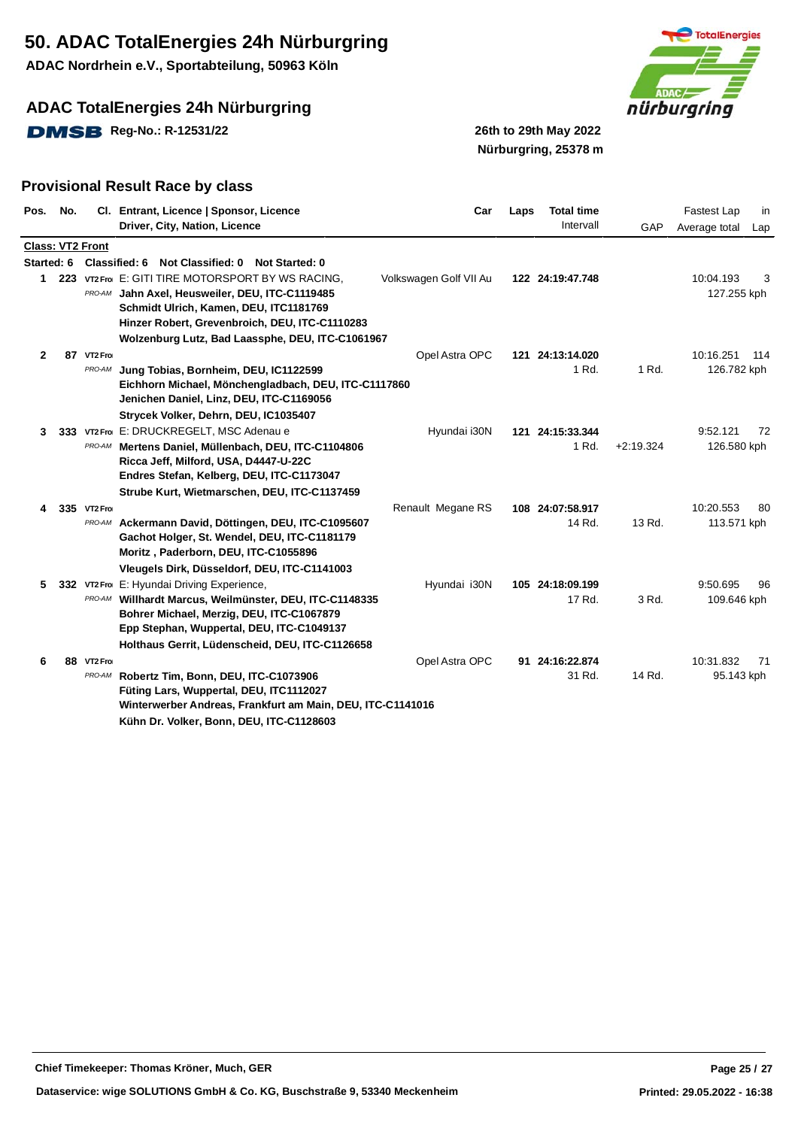**ADAC Nordrhein e.V., Sportabteilung, 50963 Köln**

## **ADAC TotalEnergies 24h Nürburgring**

**DMSB** Reg-No.: R-12531/22 26th to 29th May 2022



**Nürburgring, 25378 m**

| Pos.         | No. |                         | Cl. Entrant, Licence   Sponsor, Licence<br>Driver, City, Nation, Licence                                                                                                                                                                                | Car                    | Laps | <b>Total time</b><br>Intervall | GAP         | Fastest Lap<br>in               |
|--------------|-----|-------------------------|---------------------------------------------------------------------------------------------------------------------------------------------------------------------------------------------------------------------------------------------------------|------------------------|------|--------------------------------|-------------|---------------------------------|
|              |     |                         |                                                                                                                                                                                                                                                         |                        |      |                                |             | Average total<br>Lap            |
| Started: 6   |     | <b>Class: VT2 Front</b> | Classified: 6 Not Classified: 0 Not Started: 0                                                                                                                                                                                                          |                        |      |                                |             |                                 |
|              |     |                         | 1 223 VT2 Froi E: GITI TIRE MOTORSPORT BY WS RACING.<br>PRO-AM Jahn Axel, Heusweiler, DEU, ITC-C1119485<br>Schmidt Ulrich, Kamen, DEU, ITC1181769<br>Hinzer Robert, Grevenbroich, DEU, ITC-C1110283<br>Wolzenburg Lutz, Bad Laassphe, DEU, ITC-C1061967 | Volkswagen Golf VII Au |      | 122 24:19:47.748               |             | 10:04.193<br>3<br>127.255 kph   |
| $\mathbf{2}$ |     | 87 VT2 Froi<br>PRO-AM   | Jung Tobias, Bornheim, DEU, IC1122599<br>Eichhorn Michael, Mönchengladbach, DEU, ITC-C1117860<br>Jenichen Daniel, Linz, DEU, ITC-C1169056<br>Strycek Volker, Dehrn, DEU, IC1035407                                                                      | Opel Astra OPC         |      | 121 24:13:14.020<br>1 Rd.      | 1 Rd.       | 10:16.251<br>114<br>126.782 kph |
| 3            |     |                         | 333 VT2 From E: DRUCKREGELT, MSC Adenau e<br>PRO-AM Mertens Daniel, Müllenbach, DEU, ITC-C1104806<br>Ricca Jeff, Milford, USA, D4447-U-22C<br>Endres Stefan, Kelberg, DEU, ITC-C1173047<br>Strube Kurt, Wietmarschen, DEU, ITC-C1137459                 | Hyundai i30N           |      | 121 24:15:33.344<br>1 Rd.      | $+2:19.324$ | 9:52.121<br>72<br>126.580 kph   |
| 4            | 335 | VT2 Fro                 | PRO-AM Ackermann David, Döttingen, DEU, ITC-C1095607<br>Gachot Holger, St. Wendel, DEU, ITC-C1181179<br>Moritz, Paderborn, DEU, ITC-C1055896<br>Vleugels Dirk, Düsseldorf, DEU, ITC-C1141003                                                            | Renault Megane RS      |      | 108 24:07:58.917<br>14 Rd.     | 13 Rd.      | 10:20.553<br>80<br>113.571 kph  |
| 5            |     |                         | 332 VT2 From E: Hyundai Driving Experience,<br>PRO-AM Willhardt Marcus, Weilmünster, DEU, ITC-C1148335<br>Bohrer Michael, Merzig, DEU, ITC-C1067879<br>Epp Stephan, Wuppertal, DEU, ITC-C1049137<br>Holthaus Gerrit, Lüdenscheid, DEU, ITC-C1126658     | Hyundai i30N           |      | 105 24:18:09.199<br>17 Rd.     | 3 Rd.       | 9:50.695<br>96<br>109.646 kph   |
| 6            |     | 88 VT2 Froi             | PRO-AM Robertz Tim, Bonn, DEU, ITC-C1073906<br>Füting Lars, Wuppertal, DEU, ITC1112027<br>Winterwerber Andreas, Frankfurt am Main, DEU, ITC-C1141016<br>Kühn Dr. Volker, Bonn, DEU, ITC-C1128603                                                        | Opel Astra OPC         |      | 91 24:16:22.874<br>31 Rd.      | 14 Rd.      | 10:31.832<br>-71<br>95.143 kph  |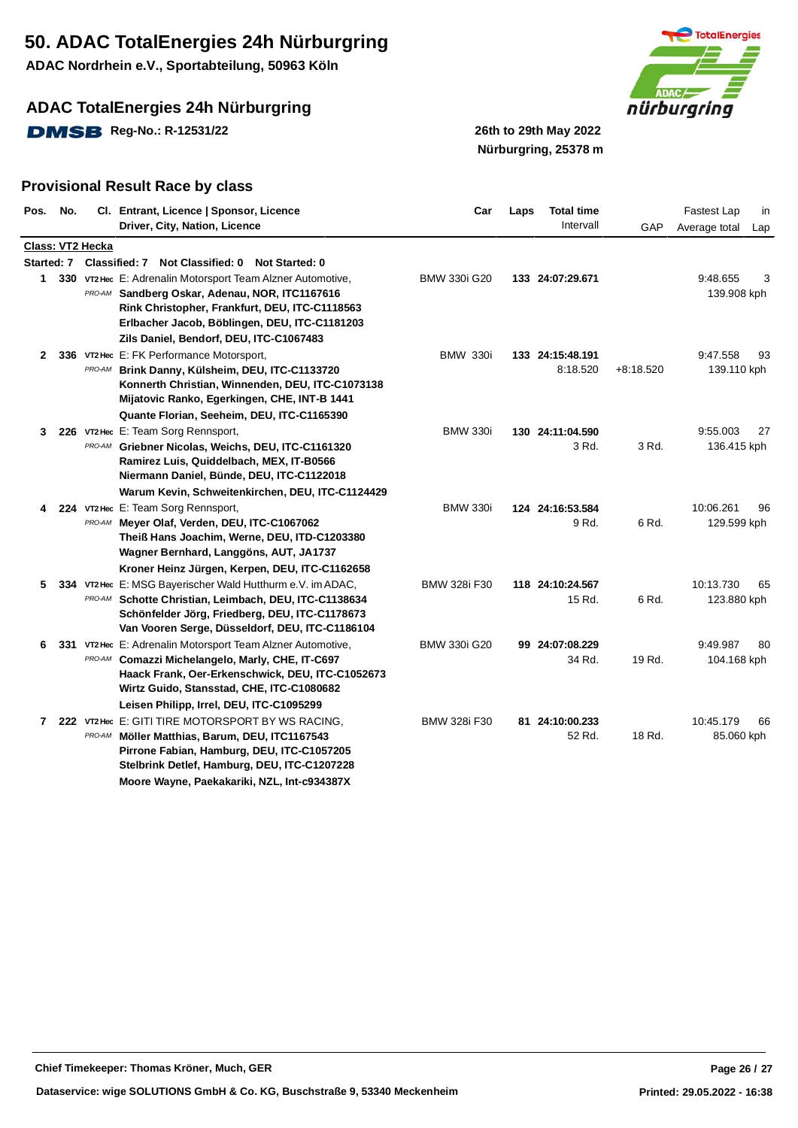**ADAC Nordrhein e.V., Sportabteilung, 50963 Köln**

## **ADAC TotalEnergies 24h Nürburgring**

**DMSB** Reg-No.: R-12531/22 26th to 29th May 2022



# **Nürburgring, 25378 m**

| Pos.         | No. |                  | Cl. Entrant, Licence   Sponsor, Licence<br>Driver, City, Nation, Licence                                                                                                                                                                       | Car                 | Laps | <b>Total time</b><br>Intervall | GAP         | Fastest Lap<br>in<br>Average total<br>Lap |
|--------------|-----|------------------|------------------------------------------------------------------------------------------------------------------------------------------------------------------------------------------------------------------------------------------------|---------------------|------|--------------------------------|-------------|-------------------------------------------|
|              |     | Class: VT2 Hecka |                                                                                                                                                                                                                                                |                     |      |                                |             |                                           |
|              |     |                  | Started: 7 Classified: 7 Not Classified: 0 Not Started: 0                                                                                                                                                                                      |                     |      |                                |             |                                           |
| 1            |     |                  | 330 VT2 Hec E: Adrenalin Motorsport Team Alzner Automotive,<br>PRO-AM Sandberg Oskar, Adenau, NOR, ITC1167616<br>Rink Christopher, Frankfurt, DEU, ITC-C1118563<br>Erlbacher Jacob, Böblingen, DEU, ITC-C1181203                               | <b>BMW 330i G20</b> |      | 133 24:07:29.671               |             | 9:48.655<br>3<br>139.908 kph              |
|              |     |                  | Zils Daniel, Bendorf, DEU, ITC-C1067483                                                                                                                                                                                                        |                     |      |                                |             |                                           |
| $\mathbf{2}$ |     |                  | 336 VT2 Hec E: FK Performance Motorsport,<br>PRO-AM Brink Danny, Külsheim, DEU, ITC-C1133720<br>Konnerth Christian, Winnenden, DEU, ITC-C1073138<br>Mijatovic Ranko, Egerkingen, CHE, INT-B 1441<br>Quante Florian, Seeheim, DEU, ITC-C1165390 | <b>BMW 330i</b>     |      | 133 24:15:48.191<br>8:18.520   | $+8:18.520$ | 9:47.558<br>93<br>139.110 kph             |
| 3            |     |                  | 226 VT2 Hec E: Team Sorg Rennsport,                                                                                                                                                                                                            | <b>BMW 330i</b>     |      | 130 24:11:04.590               |             | 9:55.003<br>27                            |
|              |     |                  | PRO-AM Griebner Nicolas, Weichs, DEU, ITC-C1161320<br>Ramirez Luis, Quiddelbach, MEX, IT-B0566<br>Niermann Daniel, Bünde, DEU, ITC-C1122018<br>Warum Kevin, Schweitenkirchen, DEU, ITC-C1124429                                                |                     |      | 3 Rd.                          | 3 Rd.       | 136.415 kph                               |
| 4            |     |                  | 224 VT2 Hec E: Team Sorg Rennsport,                                                                                                                                                                                                            | <b>BMW 330i</b>     |      | 124 24:16:53.584               |             | 10:06.261<br>96                           |
|              |     |                  | PRO-AM Meyer Olaf, Verden, DEU, ITC-C1067062<br>Theiß Hans Joachim, Werne, DEU, ITD-C1203380<br>Wagner Bernhard, Langgöns, AUT, JA1737<br>Kroner Heinz Jürgen, Kerpen, DEU, ITC-C1162658                                                       |                     |      | 9 Rd.                          | 6 Rd.       | 129.599 kph                               |
| 5            |     |                  | 334 VT2 Hec E: MSG Bayerischer Wald Hutthurm e.V. im ADAC,                                                                                                                                                                                     | <b>BMW 328i F30</b> |      | 118 24:10:24.567               |             | 10:13.730<br>65                           |
|              |     |                  | PRO-AM Schotte Christian, Leimbach, DEU, ITC-C1138634<br>Schönfelder Jörg, Friedberg, DEU, ITC-C1178673<br>Van Vooren Serge, Düsseldorf, DEU, ITC-C1186104                                                                                     |                     |      | 15 Rd.                         | 6 Rd.       | 123.880 kph                               |
| 6            | 331 |                  | VT2 Hec E: Adrenalin Motorsport Team Alzner Automotive,                                                                                                                                                                                        | <b>BMW 330i G20</b> |      | 99 24:07:08.229                |             | 9:49.987<br>80                            |
|              |     |                  | PRO-AM Comazzi Michelangelo, Marly, CHE, IT-C697<br>Haack Frank, Oer-Erkenschwick, DEU, ITC-C1052673<br>Wirtz Guido, Stansstad, CHE, ITC-C1080682<br>Leisen Philipp, Irrel, DEU, ITC-C1095299                                                  |                     |      | 34 Rd.                         | 19 Rd.      | 104.168 kph                               |
|              |     |                  | 7 222 VT2 Hec E: GITI TIRE MOTORSPORT BY WS RACING,                                                                                                                                                                                            | <b>BMW 328i F30</b> |      | 81 24:10:00.233                |             | 10:45.179<br>66                           |
|              |     |                  | PRO-AM Möller Matthias, Barum, DEU, ITC1167543<br>Pirrone Fabian, Hamburg, DEU, ITC-C1057205<br>Stelbrink Detlef, Hamburg, DEU, ITC-C1207228<br>Moore Wayne, Paekakariki, NZL, Int-c934387X                                                    |                     |      | 52 Rd.                         | 18 Rd.      | 85.060 kph                                |